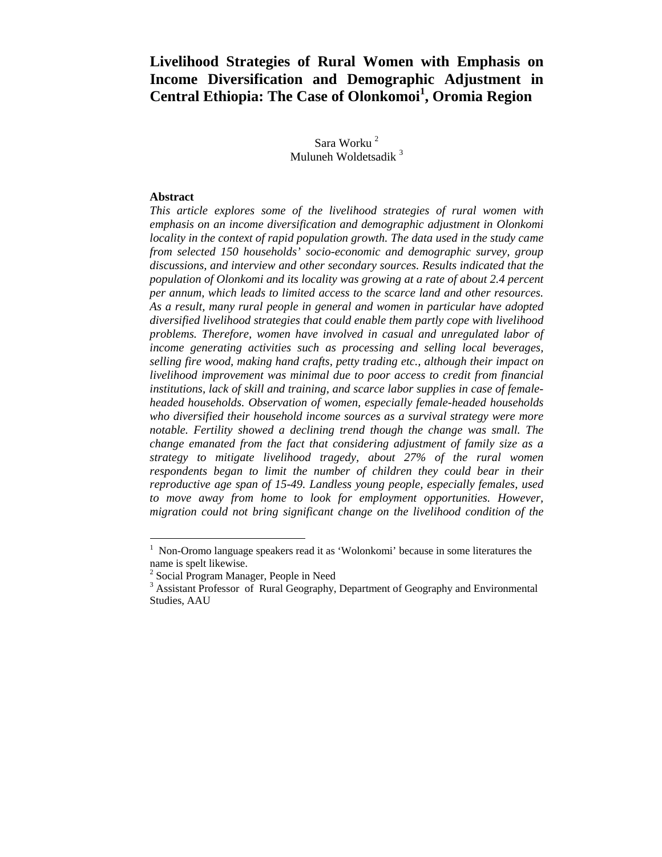# **Livelihood Strategies of Rural Women with Emphasis on Income Diversification and Demographic Adjustment in Central Ethiopia: The Case of Olonkomoi<sup>1</sup> , Oromia Region**

Sara Worku $^2$ Muluneh Woldetsadik<sup>3</sup>

#### **Abstract**

1

*This article explores some of the livelihood strategies of rural women with emphasis on an income diversification and demographic adjustment in Olonkomi locality in the context of rapid population growth. The data used in the study came from selected 150 households' socio-economic and demographic survey, group discussions, and interview and other secondary sources. Results indicated that the population of Olonkomi and its locality was growing at a rate of about 2.4 percent per annum, which leads to limited access to the scarce land and other resources. As a result, many rural people in general and women in particular have adopted diversified livelihood strategies that could enable them partly cope with livelihood problems. Therefore, women have involved in casual and unregulated labor of income generating activities such as processing and selling local beverages, selling fire wood, making hand crafts, petty trading etc., although their impact on livelihood improvement was minimal due to poor access to credit from financial institutions, lack of skill and training, and scarce labor supplies in case of femaleheaded households. Observation of women, especially female-headed households who diversified their household income sources as a survival strategy were more notable. Fertility showed a declining trend though the change was small. The change emanated from the fact that considering adjustment of family size as a strategy to mitigate livelihood tragedy, about 27% of the rural women respondents began to limit the number of children they could bear in their reproductive age span of 15-49. Landless young people, especially females, used*  to move away from home to look for employment opportunities. However, *migration could not bring significant change on the livelihood condition of the* 

<sup>&</sup>lt;sup>1</sup> Non-Oromo language speakers read it as 'Wolonkomi' because in some literatures the name is spelt likewise.

<sup>&</sup>lt;sup>2</sup> Social Program Manager, People in Need

<sup>&</sup>lt;sup>3</sup> Assistant Professor of Rural Geography, Department of Geography and Environmental Studies, AAU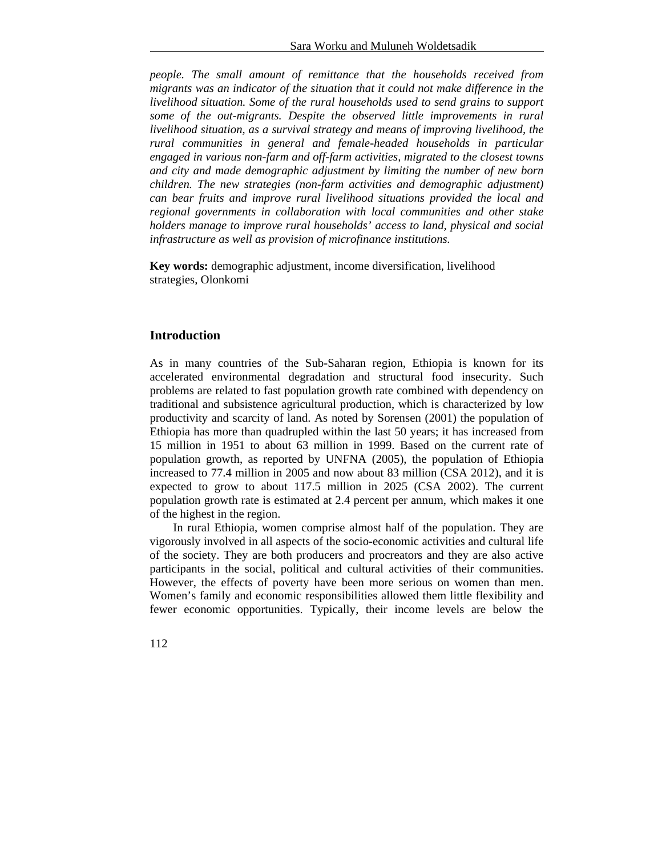*people. The small amount of remittance that the households received from migrants was an indicator of the situation that it could not make difference in the livelihood situation. Some of the rural households used to send grains to support some of the out-migrants. Despite the observed little improvements in rural livelihood situation, as a survival strategy and means of improving livelihood, the rural communities in general and female-headed households in particular engaged in various non-farm and off-farm activities, migrated to the closest towns and city and made demographic adjustment by limiting the number of new born children. The new strategies (non-farm activities and demographic adjustment) can bear fruits and improve rural livelihood situations provided the local and regional governments in collaboration with local communities and other stake holders manage to improve rural households' access to land, physical and social infrastructure as well as provision of microfinance institutions.* 

**Key words:** demographic adjustment, income diversification, livelihood strategies, Olonkomi

## **Introduction**

As in many countries of the Sub-Saharan region, Ethiopia is known for its accelerated environmental degradation and structural food insecurity. Such problems are related to fast population growth rate combined with dependency on traditional and subsistence agricultural production, which is characterized by low productivity and scarcity of land. As noted by Sorensen (2001) the population of Ethiopia has more than quadrupled within the last 50 years; it has increased from 15 million in 1951 to about 63 million in 1999. Based on the current rate of population growth, as reported by UNFNA (2005), the population of Ethiopia increased to 77.4 million in 2005 and now about 83 million (CSA 2012), and it is expected to grow to about 117.5 million in 2025 (CSA 2002). The current population growth rate is estimated at 2.4 percent per annum, which makes it one of the highest in the region.

In rural Ethiopia, women comprise almost half of the population. They are vigorously involved in all aspects of the socio-economic activities and cultural life of the society. They are both producers and procreators and they are also active participants in the social, political and cultural activities of their communities. However, the effects of poverty have been more serious on women than men. Women's family and economic responsibilities allowed them little flexibility and fewer economic opportunities. Typically, their income levels are below the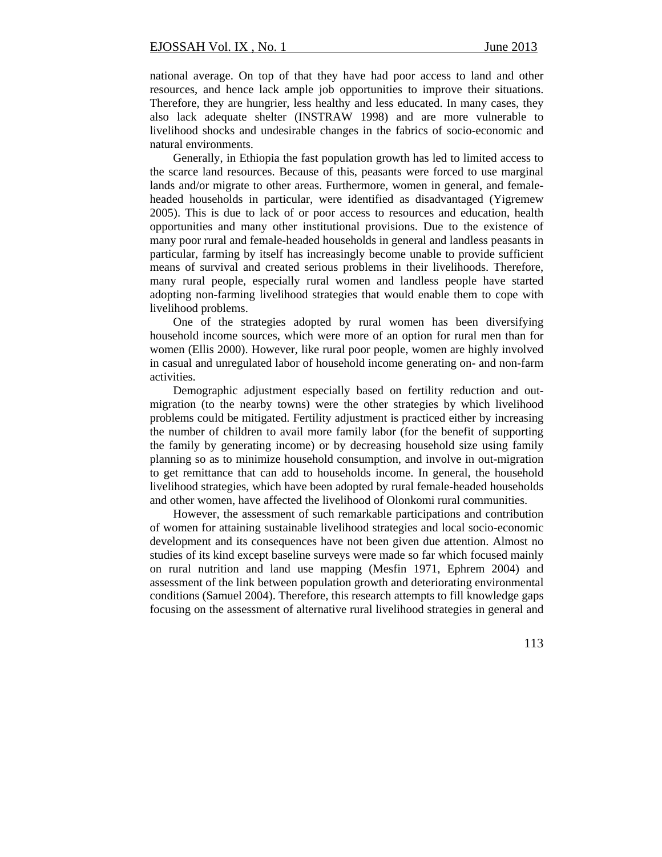national average. On top of that they have had poor access to land and other resources, and hence lack ample job opportunities to improve their situations. Therefore, they are hungrier, less healthy and less educated. In many cases, they also lack adequate shelter (INSTRAW 1998) and are more vulnerable to livelihood shocks and undesirable changes in the fabrics of socio-economic and natural environments.

Generally, in Ethiopia the fast population growth has led to limited access to the scarce land resources. Because of this, peasants were forced to use marginal lands and/or migrate to other areas. Furthermore, women in general, and femaleheaded households in particular, were identified as disadvantaged (Yigremew 2005). This is due to lack of or poor access to resources and education, health opportunities and many other institutional provisions. Due to the existence of many poor rural and female-headed households in general and landless peasants in particular, farming by itself has increasingly become unable to provide sufficient means of survival and created serious problems in their livelihoods. Therefore, many rural people, especially rural women and landless people have started adopting non-farming livelihood strategies that would enable them to cope with livelihood problems.

One of the strategies adopted by rural women has been diversifying household income sources, which were more of an option for rural men than for women (Ellis 2000). However, like rural poor people, women are highly involved in casual and unregulated labor of household income generating on- and non-farm activities.

Demographic adjustment especially based on fertility reduction and outmigration (to the nearby towns) were the other strategies by which livelihood problems could be mitigated. Fertility adjustment is practiced either by increasing the number of children to avail more family labor (for the benefit of supporting the family by generating income) or by decreasing household size using family planning so as to minimize household consumption, and involve in out-migration to get remittance that can add to households income. In general, the household livelihood strategies, which have been adopted by rural female-headed households and other women, have affected the livelihood of Olonkomi rural communities.

However, the assessment of such remarkable participations and contribution of women for attaining sustainable livelihood strategies and local socio-economic development and its consequences have not been given due attention. Almost no studies of its kind except baseline surveys were made so far which focused mainly on rural nutrition and land use mapping (Mesfin 1971, Ephrem 2004) and assessment of the link between population growth and deteriorating environmental conditions (Samuel 2004). Therefore, this research attempts to fill knowledge gaps focusing on the assessment of alternative rural livelihood strategies in general and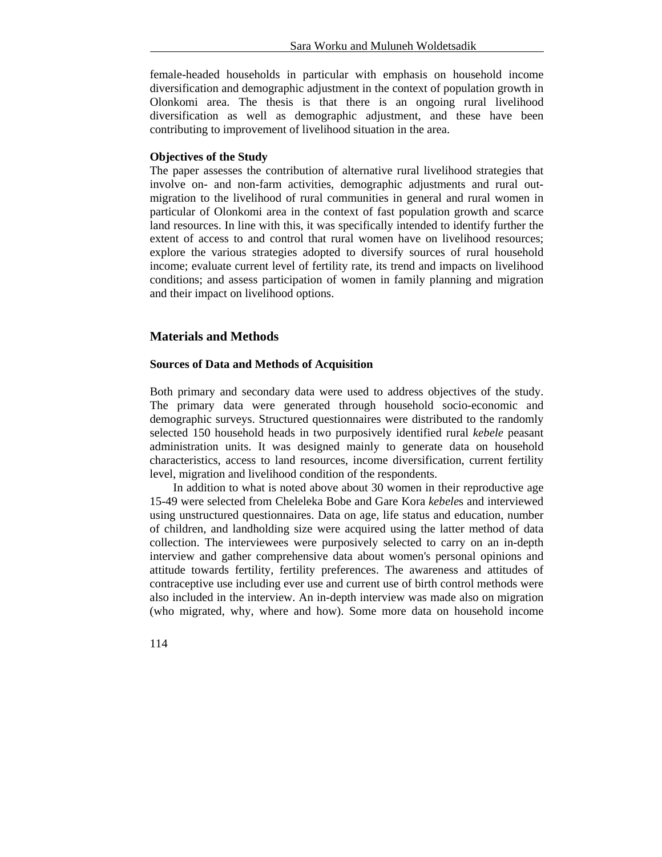female-headed households in particular with emphasis on household income diversification and demographic adjustment in the context of population growth in Olonkomi area. The thesis is that there is an ongoing rural livelihood diversification as well as demographic adjustment, and these have been contributing to improvement of livelihood situation in the area.

#### **Objectives of the Study**

The paper assesses the contribution of alternative rural livelihood strategies that involve on- and non-farm activities, demographic adjustments and rural outmigration to the livelihood of rural communities in general and rural women in particular of Olonkomi area in the context of fast population growth and scarce land resources. In line with this, it was specifically intended to identify further the extent of access to and control that rural women have on livelihood resources; explore the various strategies adopted to diversify sources of rural household income; evaluate current level of fertility rate, its trend and impacts on livelihood conditions; and assess participation of women in family planning and migration and their impact on livelihood options.

#### **Materials and Methods**

#### **Sources of Data and Methods of Acquisition**

Both primary and secondary data were used to address objectives of the study. The primary data were generated through household socio-economic and demographic surveys. Structured questionnaires were distributed to the randomly selected 150 household heads in two purposively identified rural *kebele* peasant administration units. It was designed mainly to generate data on household characteristics, access to land resources, income diversification, current fertility level, migration and livelihood condition of the respondents.

In addition to what is noted above about 30 women in their reproductive age 15-49 were selected from Cheleleka Bobe and Gare Kora *kebele*s and interviewed using unstructured questionnaires. Data on age, life status and education, number of children, and landholding size were acquired using the latter method of data collection. The interviewees were purposively selected to carry on an in-depth interview and gather comprehensive data about women's personal opinions and attitude towards fertility, fertility preferences. The awareness and attitudes of contraceptive use including ever use and current use of birth control methods were also included in the interview. An in-depth interview was made also on migration (who migrated, why, where and how). Some more data on household income

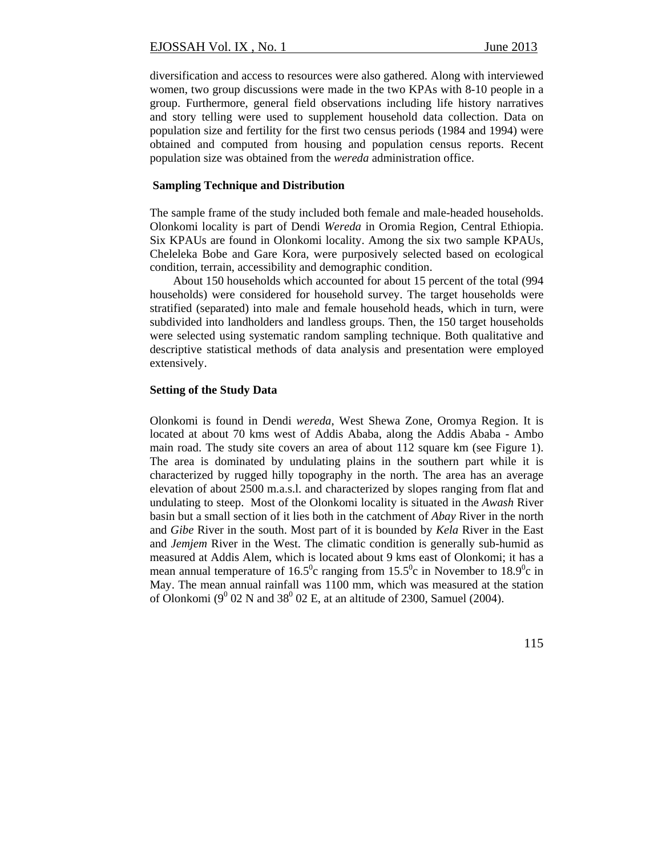diversification and access to resources were also gathered. Along with interviewed women, two group discussions were made in the two KPAs with 8-10 people in a group. Furthermore, general field observations including life history narratives and story telling were used to supplement household data collection. Data on population size and fertility for the first two census periods (1984 and 1994) were obtained and computed from housing and population census reports. Recent population size was obtained from the *wereda* administration office.

#### **Sampling Technique and Distribution**

The sample frame of the study included both female and male-headed households. Olonkomi locality is part of Dendi *Wereda* in Oromia Region, Central Ethiopia. Six KPAUs are found in Olonkomi locality. Among the six two sample KPAUs, Cheleleka Bobe and Gare Kora, were purposively selected based on ecological condition, terrain, accessibility and demographic condition.

About 150 households which accounted for about 15 percent of the total (994 households) were considered for household survey. The target households were stratified (separated) into male and female household heads, which in turn, were subdivided into landholders and landless groups. Then, the 150 target households were selected using systematic random sampling technique. Both qualitative and descriptive statistical methods of data analysis and presentation were employed extensively.

#### **Setting of the Study Data**

Olonkomi is found in Dendi *wereda*, West Shewa Zone, Oromya Region. It is located at about 70 kms west of Addis Ababa, along the Addis Ababa - Ambo main road. The study site covers an area of about  $112$  square km (see Figure 1). The area is dominated by undulating plains in the southern part while it is characterized by rugged hilly topography in the north. The area has an average elevation of about 2500 m.a.s.l. and characterized by slopes ranging from flat and undulating to steep. Most of the Olonkomi locality is situated in the *Awash* River basin but a small section of it lies both in the catchment of *Abay* River in the north and *Gibe* River in the south. Most part of it is bounded by *Kela* River in the East and *Jemjem* River in the West. The climatic condition is generally sub-humid as measured at Addis Alem, which is located about 9 kms east of Olonkomi; it has a mean annual temperature of 16.5<sup>o</sup>c ranging from 15.5<sup>o</sup>c in November to 18.9<sup>o</sup>c in May. The mean annual rainfall was 1100 mm, which was measured at the station of Olonkomi ( $9^{\circ}$  02 N and 38 $^{\circ}$  02 E, at an altitude of 2300, Samuel (2004).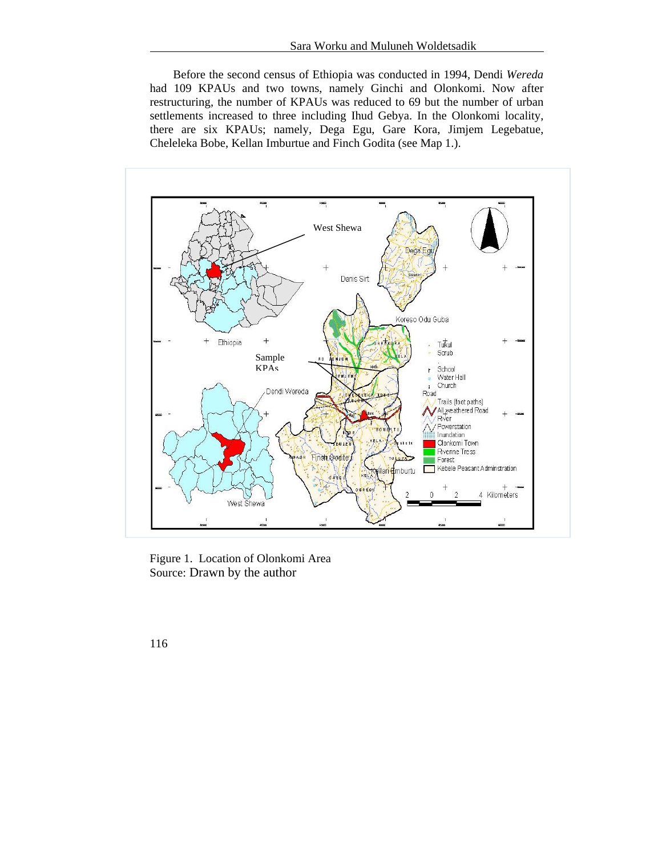Before the second census of Ethiopia was conducted in 1994, Dendi *Wereda* had 109 KPAUs and two towns, namely Ginchi and Olonkomi. Now after restructuring, the number of KPAUs was reduced to 69 but the number of urban settlements increased to three including Ihud Gebya. In the Olonkomi locality, there are six KPAUs; namely, Dega Egu, Gare Kora, Jimjem Legebatue, Cheleleka Bobe, Kellan Imburtue and Finch Godita (see Map 1.).



Figure 1. Location of Olonkomi Area Source: Drawn by the author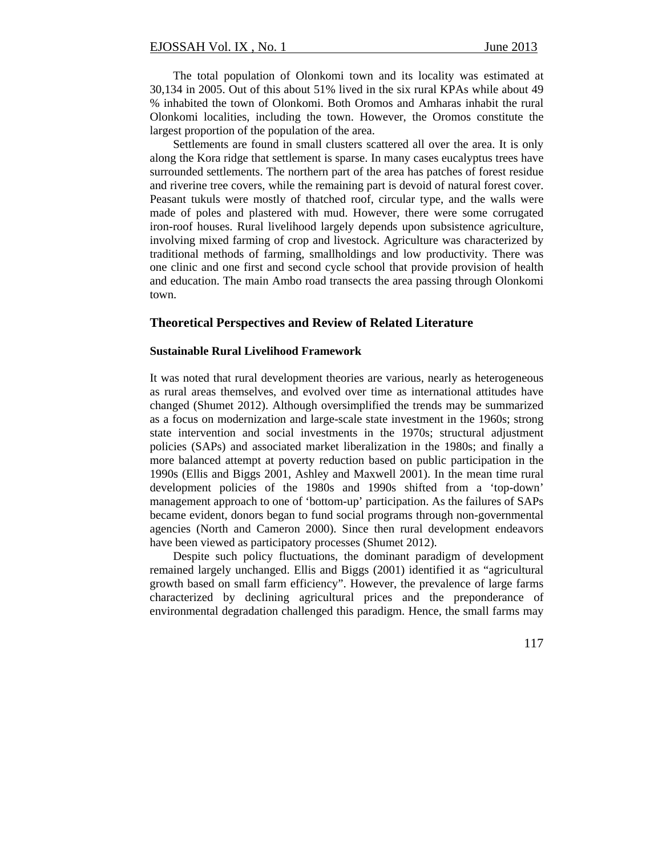The total population of Olonkomi town and its locality was estimated at 30,134 in 2005. Out of this about 51% lived in the six rural KPAs while about 49 % inhabited the town of Olonkomi. Both Oromos and Amharas inhabit the rural Olonkomi localities, including the town. However, the Oromos constitute the largest proportion of the population of the area.

Settlements are found in small clusters scattered all over the area. It is only along the Kora ridge that settlement is sparse. In many cases eucalyptus trees have surrounded settlements. The northern part of the area has patches of forest residue and riverine tree covers, while the remaining part is devoid of natural forest cover. Peasant tukuls were mostly of thatched roof, circular type, and the walls were made of poles and plastered with mud. However, there were some corrugated iron-roof houses. Rural livelihood largely depends upon subsistence agriculture, involving mixed farming of crop and livestock. Agriculture was characterized by traditional methods of farming, smallholdings and low productivity. There was one clinic and one first and second cycle school that provide provision of health and education. The main Ambo road transects the area passing through Olonkomi town.

#### **Theoretical Perspectives and Review of Related Literature**

#### **Sustainable Rural Livelihood Framework**

It was noted that rural development theories are various, nearly as heterogeneous as rural areas themselves, and evolved over time as international attitudes have changed (Shumet 2012). Although oversimplified the trends may be summarized as a focus on modernization and large-scale state investment in the 1960s; strong state intervention and social investments in the 1970s; structural adjustment policies (SAPs) and associated market liberalization in the 1980s; and finally a more balanced attempt at poverty reduction based on public participation in the 1990s (Ellis and Biggs 2001, Ashley and Maxwell 2001). In the mean time rural development policies of the 1980s and 1990s shifted from a 'top-down' management approach to one of 'bottom-up' participation. As the failures of SAPs became evident, donors began to fund social programs through non-governmental agencies (North and Cameron 2000). Since then rural development endeavors have been viewed as participatory processes (Shumet 2012).

Despite such policy fluctuations, the dominant paradigm of development remained largely unchanged. Ellis and Biggs (2001) identified it as "agricultural growth based on small farm efficiency". However, the prevalence of large farms characterized by declining agricultural prices and the preponderance of environmental degradation challenged this paradigm. Hence, the small farms may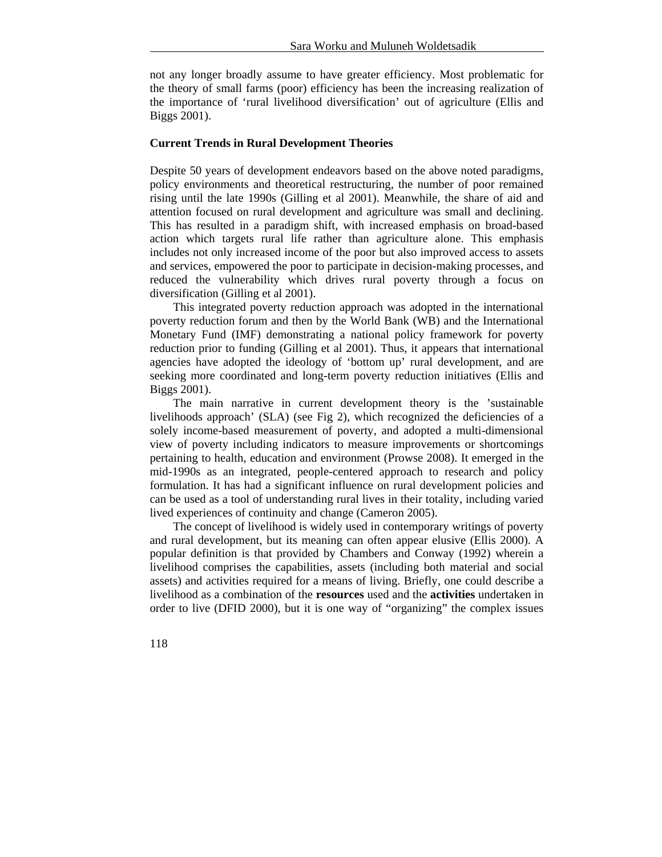not any longer broadly assume to have greater efficiency. Most problematic for the theory of small farms (poor) efficiency has been the increasing realization of the importance of 'rural livelihood diversification' out of agriculture (Ellis and Biggs 2001).

#### **Current Trends in Rural Development Theories**

Despite 50 years of development endeavors based on the above noted paradigms, policy environments and theoretical restructuring, the number of poor remained rising until the late 1990s (Gilling et al 2001). Meanwhile, the share of aid and attention focused on rural development and agriculture was small and declining. This has resulted in a paradigm shift, with increased emphasis on broad-based action which targets rural life rather than agriculture alone. This emphasis includes not only increased income of the poor but also improved access to assets and services, empowered the poor to participate in decision-making processes, and reduced the vulnerability which drives rural poverty through a focus on diversification (Gilling et al 2001).

This integrated poverty reduction approach was adopted in the international poverty reduction forum and then by the World Bank (WB) and the International Monetary Fund (IMF) demonstrating a national policy framework for poverty reduction prior to funding (Gilling et al 2001). Thus, it appears that international agencies have adopted the ideology of 'bottom up' rural development, and are seeking more coordinated and long-term poverty reduction initiatives (Ellis and Biggs 2001).

The main narrative in current development theory is the 'sustainable livelihoods approach' (SLA) (see Fig 2), which recognized the deficiencies of a solely income-based measurement of poverty, and adopted a multi-dimensional view of poverty including indicators to measure improvements or shortcomings pertaining to health, education and environment (Prowse 2008). It emerged in the mid-1990s as an integrated, people-centered approach to research and policy formulation. It has had a significant influence on rural development policies and can be used as a tool of understanding rural lives in their totality, including varied lived experiences of continuity and change (Cameron 2005).

The concept of livelihood is widely used in contemporary writings of poverty and rural development, but its meaning can often appear elusive (Ellis 2000). A popular definition is that provided by Chambers and Conway (1992) wherein a livelihood comprises the capabilities, assets (including both material and social assets) and activities required for a means of living. Briefly, one could describe a livelihood as a combination of the **resources** used and the **activities** undertaken in order to live (DFID 2000), but it is one way of "organizing" the complex issues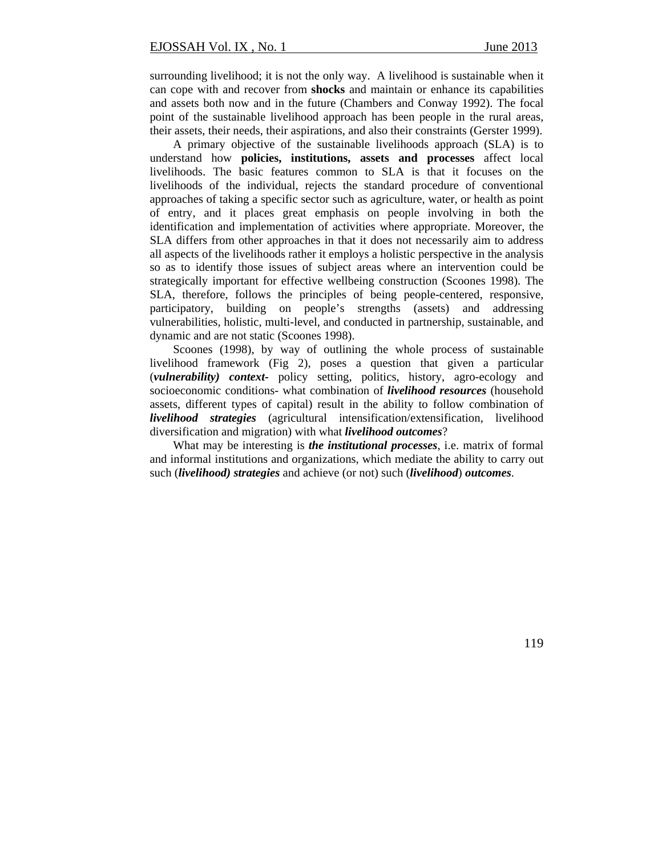surrounding livelihood; it is not the only way. A livelihood is sustainable when it can cope with and recover from **shocks** and maintain or enhance its capabilities and assets both now and in the future (Chambers and Conway 1992). The focal point of the sustainable livelihood approach has been people in the rural areas, their assets, their needs, their aspirations, and also their constraints (Gerster 1999).

A primary objective of the sustainable livelihoods approach (SLA) is to understand how **policies, institutions, assets and processes** affect local livelihoods. The basic features common to SLA is that it focuses on the livelihoods of the individual, rejects the standard procedure of conventional approaches of taking a specific sector such as agriculture, water, or health as point of entry, and it places great emphasis on people involving in both the identification and implementation of activities where appropriate. Moreover, the SLA differs from other approaches in that it does not necessarily aim to address all aspects of the livelihoods rather it employs a holistic perspective in the analysis so as to identify those issues of subject areas where an intervention could be strategically important for effective wellbeing construction (Scoones 1998). The SLA, therefore, follows the principles of being people-centered, responsive, participatory, building on people's strengths (assets) and addressing vulnerabilities, holistic, multi-level, and conducted in partnership, sustainable, and dynamic and are not static (Scoones 1998).

Scoones (1998), by way of outlining the whole process of sustainable livelihood framework (Fig 2), poses a question that given a particular (*vulnerability) context-* policy setting, politics, history, agro-ecology and socioeconomic conditions- what combination of *livelihood resources* (household assets, different types of capital) result in the ability to follow combination of *livelihood strategies* (agricultural intensification/extensification, livelihood diversification and migration) with what *livelihood outcomes*?

What may be interesting is *the institutional processes*, i.e. matrix of formal and informal institutions and organizations, which mediate the ability to carry out such (*livelihood) strategies* and achieve (or not) such (*livelihood*) *outcomes*.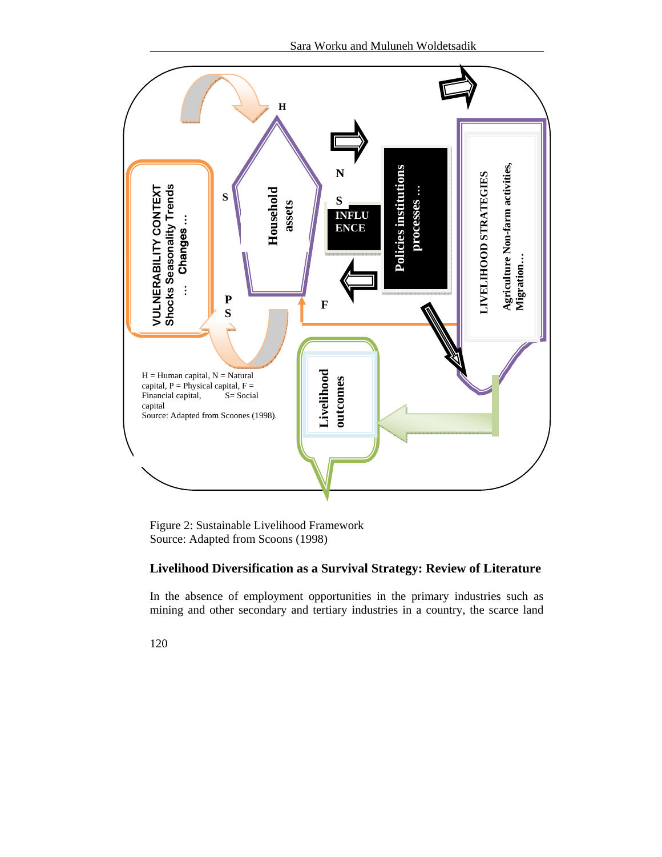

Figure 2: Sustainable Livelihood Framework Source: Adapted from Scoons (1998)

## **Livelihood Diversification as a Survival Strategy: Review of Literature**

In the absence of employment opportunities in the primary industries such as mining and other secondary and tertiary industries in a country, the scarce land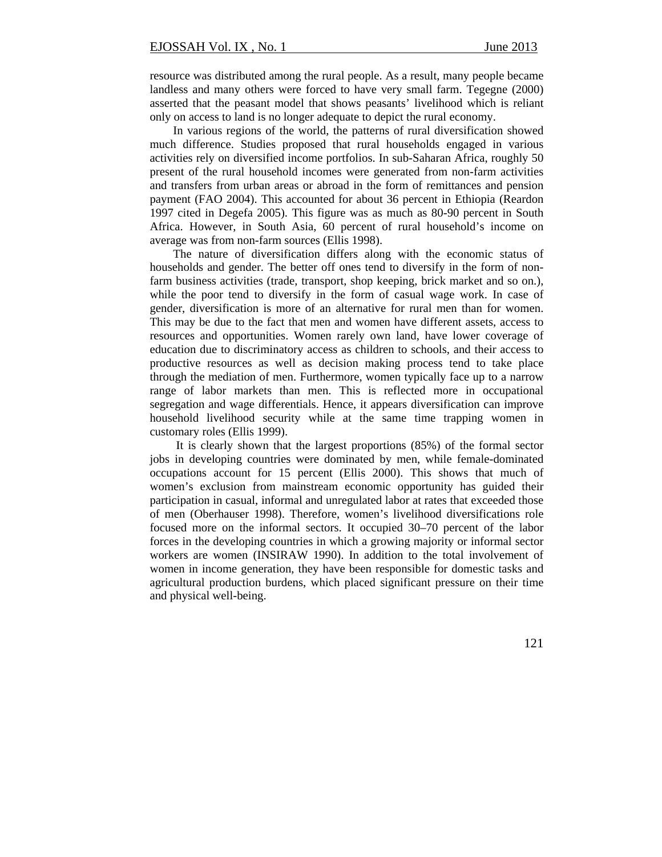resource was distributed among the rural people. As a result, many people became landless and many others were forced to have very small farm. Tegegne (2000) asserted that the peasant model that shows peasants' livelihood which is reliant only on access to land is no longer adequate to depict the rural economy.

In various regions of the world, the patterns of rural diversification showed much difference. Studies proposed that rural households engaged in various activities rely on diversified income portfolios. In sub-Saharan Africa, roughly 50 present of the rural household incomes were generated from non-farm activities and transfers from urban areas or abroad in the form of remittances and pension payment (FAO 2004). This accounted for about 36 percent in Ethiopia (Reardon 1997 cited in Degefa 2005). This figure was as much as 80-90 percent in South Africa. However, in South Asia, 60 percent of rural household's income on average was from non-farm sources (Ellis 1998).

The nature of diversification differs along with the economic status of households and gender. The better off ones tend to diversify in the form of nonfarm business activities (trade, transport, shop keeping, brick market and so on.), while the poor tend to diversify in the form of casual wage work. In case of gender, diversification is more of an alternative for rural men than for women. This may be due to the fact that men and women have different assets, access to resources and opportunities. Women rarely own land, have lower coverage of education due to discriminatory access as children to schools, and their access to productive resources as well as decision making process tend to take place through the mediation of men. Furthermore, women typically face up to a narrow range of labor markets than men. This is reflected more in occupational segregation and wage differentials. Hence, it appears diversification can improve household livelihood security while at the same time trapping women in customary roles (Ellis 1999).

 It is clearly shown that the largest proportions (85%) of the formal sector jobs in developing countries were dominated by men, while female-dominated occupations account for 15 percent (Ellis 2000). This shows that much of women's exclusion from mainstream economic opportunity has guided their participation in casual, informal and unregulated labor at rates that exceeded those of men (Oberhauser 1998). Therefore, women's livelihood diversifications role focused more on the informal sectors. It occupied 30–70 percent of the labor forces in the developing countries in which a growing majority or informal sector workers are women (INSIRAW 1990). In addition to the total involvement of women in income generation, they have been responsible for domestic tasks and agricultural production burdens, which placed significant pressure on their time and physical well-being.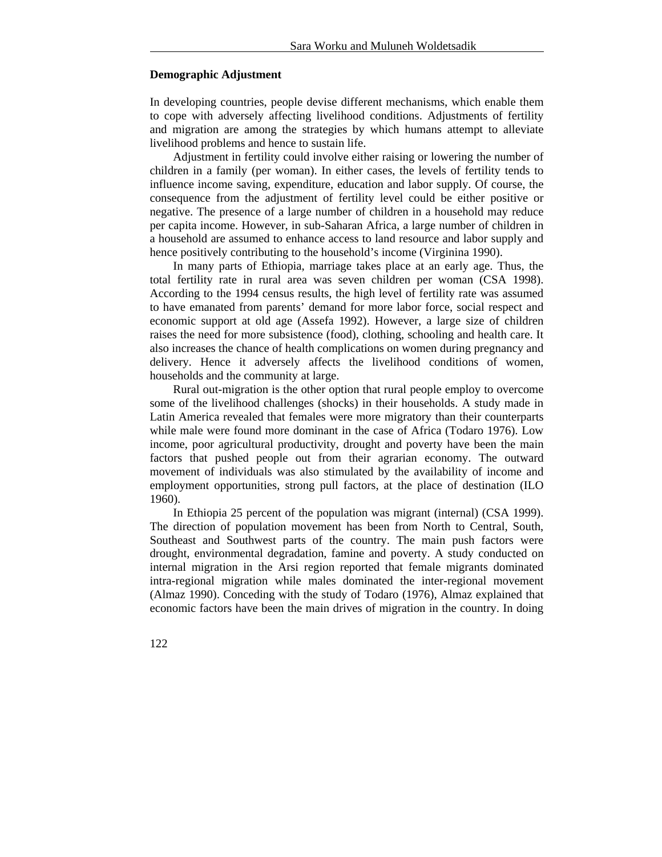#### **Demographic Adjustment**

In developing countries, people devise different mechanisms, which enable them to cope with adversely affecting livelihood conditions. Adjustments of fertility and migration are among the strategies by which humans attempt to alleviate livelihood problems and hence to sustain life.

Adjustment in fertility could involve either raising or lowering the number of children in a family (per woman). In either cases, the levels of fertility tends to influence income saving, expenditure, education and labor supply. Of course, the consequence from the adjustment of fertility level could be either positive or negative. The presence of a large number of children in a household may reduce per capita income. However, in sub-Saharan Africa, a large number of children in a household are assumed to enhance access to land resource and labor supply and hence positively contributing to the household's income (Virginina 1990).

In many parts of Ethiopia, marriage takes place at an early age. Thus, the total fertility rate in rural area was seven children per woman (CSA 1998). According to the 1994 census results, the high level of fertility rate was assumed to have emanated from parents' demand for more labor force, social respect and economic support at old age (Assefa 1992). However, a large size of children raises the need for more subsistence (food), clothing, schooling and health care. It also increases the chance of health complications on women during pregnancy and delivery. Hence it adversely affects the livelihood conditions of women, households and the community at large.

Rural out-migration is the other option that rural people employ to overcome some of the livelihood challenges (shocks) in their households. A study made in Latin America revealed that females were more migratory than their counterparts while male were found more dominant in the case of Africa (Todaro 1976). Low income, poor agricultural productivity, drought and poverty have been the main factors that pushed people out from their agrarian economy. The outward movement of individuals was also stimulated by the availability of income and employment opportunities, strong pull factors, at the place of destination (ILO 1960).

In Ethiopia 25 percent of the population was migrant (internal) (CSA 1999). The direction of population movement has been from North to Central, South, Southeast and Southwest parts of the country. The main push factors were drought, environmental degradation, famine and poverty. A study conducted on internal migration in the Arsi region reported that female migrants dominated intra-regional migration while males dominated the inter-regional movement (Almaz 1990). Conceding with the study of Todaro (1976), Almaz explained that economic factors have been the main drives of migration in the country. In doing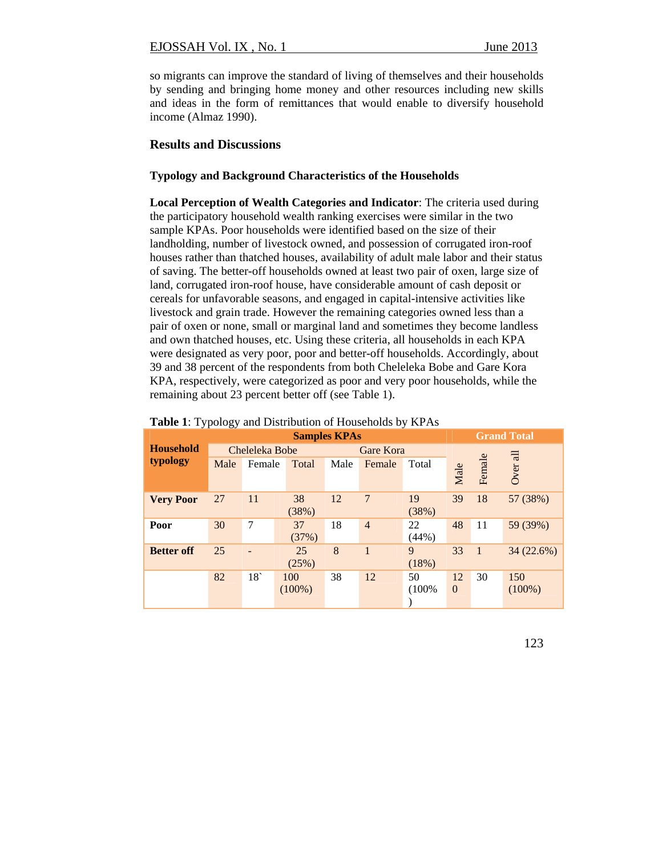so migrants can improve the standard of living of themselves and their households by sending and bringing home money and other resources including new skills and ideas in the form of remittances that would enable to diversify household income (Almaz 1990).

#### **Results and Discussions**

#### **Typology and Background Characteristics of the Households**

**Local Perception of Wealth Categories and Indicator**: The criteria used during the participatory household wealth ranking exercises were similar in the two sample KPAs. Poor households were identified based on the size of their landholding, number of livestock owned, and possession of corrugated iron-roof houses rather than thatched houses, availability of adult male labor and their status of saving. The better-off households owned at least two pair of oxen, large size of land, corrugated iron-roof house, have considerable amount of cash deposit or cereals for unfavorable seasons, and engaged in capital-intensive activities like livestock and grain trade. However the remaining categories owned less than a pair of oxen or none, small or marginal land and sometimes they become landless and own thatched houses, etc. Using these criteria, all households in each KPA were designated as very poor, poor and better-off households. Accordingly, about 39 and 38 percent of the respondents from both Cheleleka Bobe and Gare Kora KPA, respectively, were categorized as poor and very poor households, while the remaining about 23 percent better off (see Table 1).

|                   | <b>Grand Total</b><br><b>Samples KPAs</b> |                |             |      |                |             |                |                |           |
|-------------------|-------------------------------------------|----------------|-------------|------|----------------|-------------|----------------|----------------|-----------|
| <b>Household</b>  |                                           | Cheleleka Bobe |             |      | Gare Kora      |             |                |                |           |
| typology          | Male                                      | Female         | Total       | Male | Female         | Total       | Male           | Female         | Over all  |
| <b>Very Poor</b>  | 27                                        | 11             | 38<br>(38%) | 12   | 7              | 19<br>(38%) | 39             | 18             | 57 (38%)  |
| Poor              | 30                                        | $\overline{7}$ | 37<br>(37%) | 18   | $\overline{4}$ | 22<br>(44%) | 48             | 11             | 59 (39%)  |
| <b>Better off</b> | 25                                        |                | 25<br>(25%) | 8    | 1              | 9<br>(18%)  | 33             | $\overline{1}$ | 34(22.6%) |
|                   | 82                                        | 18             | 100         | 38   | 12             | 50          | 12             | 30             | 150       |
|                   |                                           |                | $(100\%)$   |      |                | (100%       | $\overline{0}$ |                | $(100\%)$ |

#### **Table 1**: Typology and Distribution of Households by KPAs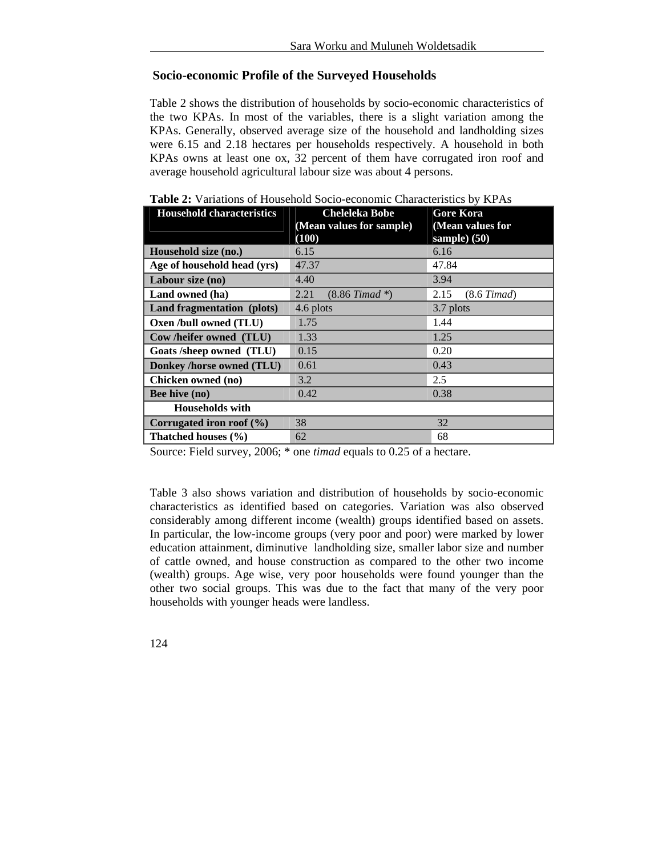## **Socio-economic Profile of the Surveyed Households**

Table 2 shows the distribution of households by socio-economic characteristics of the two KPAs. In most of the variables, there is a slight variation among the KPAs. Generally, observed average size of the household and landholding sizes were 6.15 and 2.18 hectares per households respectively. A household in both KPAs owns at least one ox, 32 percent of them have corrugated iron roof and average household agricultural labour size was about 4 persons.

| <b>Household characteristics</b> | <b>Cheleleka Bobe</b>         | <b>Gore Kora</b>         |
|----------------------------------|-------------------------------|--------------------------|
|                                  | (Mean values for sample)      | (Mean values for         |
|                                  | (100)                         | sample) (50)             |
| Household size (no.)             | 6.15                          | 6.16                     |
| Age of household head (yrs)      | 47.37                         | 47.84                    |
| Labour size (no)                 | 4.40                          | 3.94                     |
| Land owned (ha)                  | 2.21<br>$(8.86 \; Timad \;*)$ | $(8.6 \; Timad)$<br>2.15 |
| Land fragmentation (plots)       | 4.6 plots                     | 3.7 plots                |
| Oxen /bull owned (TLU)           | 1.75                          | 1.44                     |
| Cow/heifer owned (TLU)           | 1.33                          | 1.25                     |
| Goats /sheep owned (TLU)         | 0.15                          | 0.20                     |
| Donkey /horse owned (TLU)        | 0.61                          | 0.43                     |
| Chicken owned (no)               | 3.2                           | 2.5                      |
| <b>Bee hive (no)</b>             | 0.42                          | 0.38                     |
| <b>Households with</b>           |                               |                          |
| Corrugated iron roof $(\% )$     | 38                            | 32                       |
| Thatched houses (%)              | 62                            | 68                       |

|  |  | <b>Table 2:</b> Variations of Household Socio-economic Characteristics by KPAs |  |
|--|--|--------------------------------------------------------------------------------|--|
|  |  |                                                                                |  |

Source: Field survey, 2006; \* one *timad* equals to 0.25 of a hectare.

Table 3 also shows variation and distribution of households by socio-economic characteristics as identified based on categories. Variation was also observed considerably among different income (wealth) groups identified based on assets. In particular, the low-income groups (very poor and poor) were marked by lower education attainment, diminutive landholding size, smaller labor size and number of cattle owned, and house construction as compared to the other two income (wealth) groups. Age wise, very poor households were found younger than the other two social groups. This was due to the fact that many of the very poor households with younger heads were landless.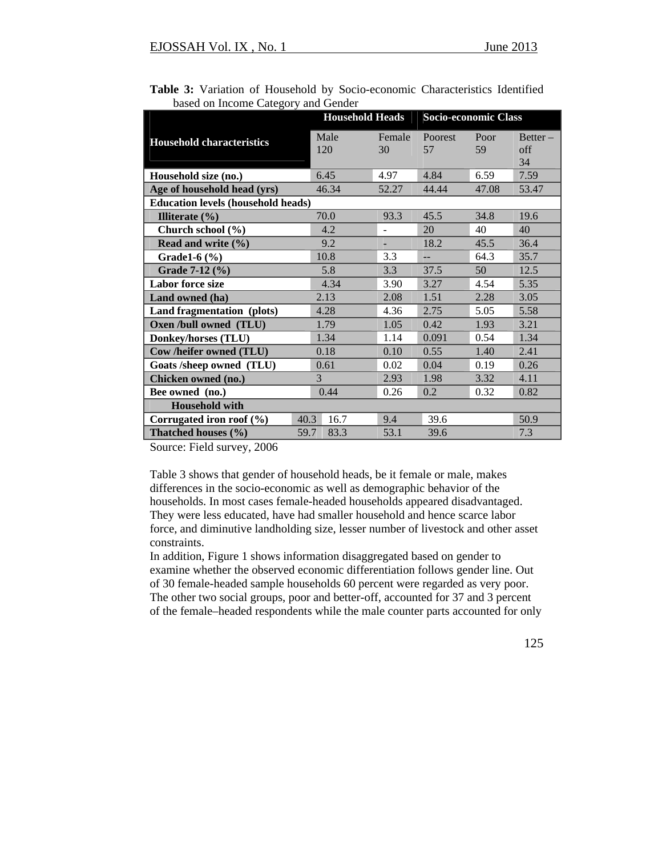|                                           |             | <b>Household Heads</b>   |                      | <b>Socio-economic Class</b> |                         |  |
|-------------------------------------------|-------------|--------------------------|----------------------|-----------------------------|-------------------------|--|
| <b>Household characteristics</b>          | Male<br>120 | Female<br>30             | <b>Poorest</b><br>57 | Poor<br>59                  | $Better -$<br>off<br>34 |  |
| Household size (no.)                      | 6.45        | 4.97                     | 4.84                 | 6.59                        | 7.59                    |  |
| Age of household head (yrs)               | 46.34       | 52.27                    | 44.44                | 47.08                       | 53.47                   |  |
| <b>Education levels (household heads)</b> |             |                          |                      |                             |                         |  |
| Illiterate $(\% )$                        | 70.0        | 93.3                     | 45.5                 | 34.8                        | 19.6                    |  |
| Church school (%)                         | 4.2         | $\overline{\phantom{0}}$ | 20                   | 40                          | 40                      |  |
| Read and write $(\% )$                    | 9.2         | ٠                        | 18.2                 | 45.5                        | 36.4                    |  |
| Grade1- $6$ $%$ )                         | 10.8        | 3.3                      | $-$                  | 64.3                        | 35.7                    |  |
| Grade 7-12 (%)                            | 5.8         | 3.3                      | 37.5                 | 50                          | 12.5                    |  |
| <b>Labor force size</b>                   | 4.34        | 3.90                     | 3.27                 | 4.54                        | 5.35                    |  |
| Land owned (ha)                           | 2.13        | 2.08                     | 1.51                 | 2.28                        | 3.05                    |  |
| Land fragmentation (plots)                | 4.28        | 4.36                     | 2.75                 | 5.05                        | 5.58                    |  |
| Oxen /bull owned (TLU)                    | 1.79        | 1.05                     | 0.42                 | 1.93                        | 3.21                    |  |
| <b>Donkey/horses (TLU)</b>                | 1.34        | 1.14                     | 0.091                | 0.54                        | 1.34                    |  |
| Cow /heifer owned (TLU)                   | 0.18        | 0.10                     | 0.55                 | 1.40                        | 2.41                    |  |
| Goats /sheep owned (TLU)                  | 0.61        | 0.02                     | 0.04                 | 0.19                        | 0.26                    |  |
| Chicken owned (no.)                       | 3           | 2.93                     | 1.98                 | 3.32                        | 4.11                    |  |
| Bee owned (no.)                           | 0.44        | 0.26                     | 0.2                  | 0.32                        | 0.82                    |  |
| <b>Household with</b>                     |             |                          |                      |                             |                         |  |
| Corrugated iron roof $(\% )$<br>40.3      | 16.7        | 9.4                      | 39.6                 |                             | 50.9                    |  |
| 59.7<br>Thatched houses (%)               | 83.3        | 53.1                     | 39.6                 |                             | 7.3                     |  |

|  |                                     | Table 3: Variation of Household by Socio-economic Characteristics Identified |  |
|--|-------------------------------------|------------------------------------------------------------------------------|--|
|  | based on Income Category and Gender |                                                                              |  |

Source: Field survey, 2006

Table 3 shows that gender of household heads, be it female or male, makes differences in the socio-economic as well as demographic behavior of the households. In most cases female-headed households appeared disadvantaged. They were less educated, have had smaller household and hence scarce labor force, and diminutive landholding size, lesser number of livestock and other asset constraints.

In addition, Figure 1 shows information disaggregated based on gender to examine whether the observed economic differentiation follows gender line. Out of 30 female-headed sample households 60 percent were regarded as very poor. The other two social groups, poor and better-off, accounted for 37 and 3 percent of the female–headed respondents while the male counter parts accounted for only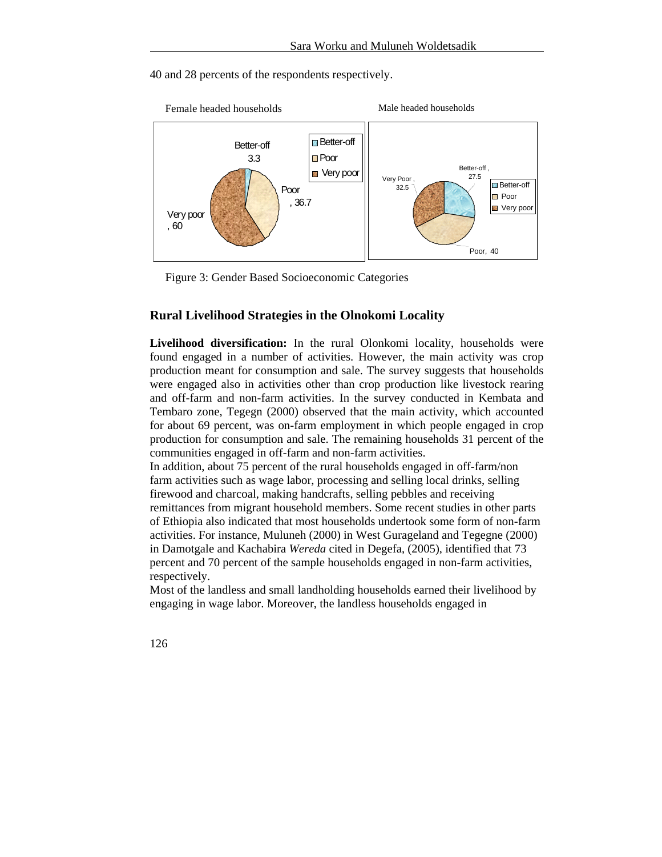40 and 28 percents of the respondents respectively.



Figure 3: Gender Based Socioeconomic Categories

## **Rural Livelihood Strategies in the Olnokomi Locality**

**Livelihood diversification:** In the rural Olonkomi locality, households were found engaged in a number of activities. However, the main activity was crop production meant for consumption and sale. The survey suggests that households were engaged also in activities other than crop production like livestock rearing and off-farm and non-farm activities. In the survey conducted in Kembata and Tembaro zone, Tegegn (2000) observed that the main activity, which accounted for about 69 percent, was on-farm employment in which people engaged in crop production for consumption and sale. The remaining households 31 percent of the communities engaged in off-farm and non-farm activities.

In addition, about 75 percent of the rural households engaged in off-farm/non farm activities such as wage labor, processing and selling local drinks, selling firewood and charcoal, making handcrafts, selling pebbles and receiving remittances from migrant household members. Some recent studies in other parts of Ethiopia also indicated that most households undertook some form of non-farm activities. For instance, Muluneh (2000) in West Gurageland and Tegegne (2000) in Damotgale and Kachabira *Wereda* cited in Degefa, (2005), identified that 73 percent and 70 percent of the sample households engaged in non-farm activities, respectively.

Most of the landless and small landholding households earned their livelihood by engaging in wage labor. Moreover, the landless households engaged in

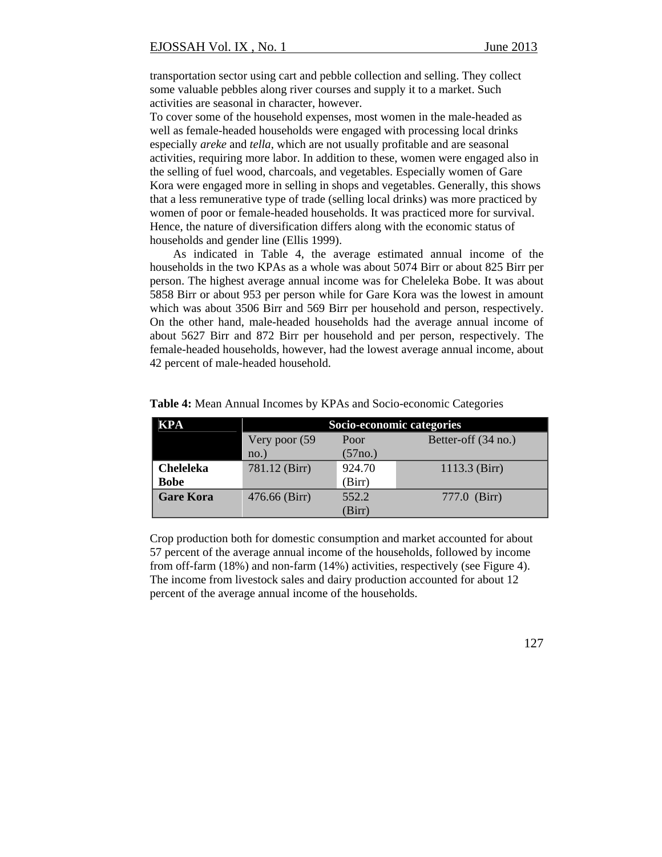transportation sector using cart and pebble collection and selling. They collect some valuable pebbles along river courses and supply it to a market. Such activities are seasonal in character, however.

To cover some of the household expenses, most women in the male-headed as well as female-headed households were engaged with processing local drinks especially *areke* and *tella,* which are not usually profitable and are seasonal activities, requiring more labor. In addition to these, women were engaged also in the selling of fuel wood, charcoals, and vegetables. Especially women of Gare Kora were engaged more in selling in shops and vegetables. Generally, this shows that a less remunerative type of trade (selling local drinks) was more practiced by women of poor or female-headed households. It was practiced more for survival. Hence, the nature of diversification differs along with the economic status of households and gender line (Ellis 1999).

As indicated in Table 4, the average estimated annual income of the households in the two KPAs as a whole was about 5074 Birr or about 825 Birr per person. The highest average annual income was for Cheleleka Bobe. It was about 5858 Birr or about 953 per person while for Gare Kora was the lowest in amount which was about 3506 Birr and 569 Birr per household and person, respectively. On the other hand, male-headed households had the average annual income of about 5627 Birr and 872 Birr per household and per person, respectively. The female-headed households, however, had the lowest average annual income, about 42 percent of male-headed household.

| KPA              | Socio-economic categories |                      |                     |  |  |  |  |
|------------------|---------------------------|----------------------|---------------------|--|--|--|--|
|                  | Very poor (59)            | Poor                 | Better-off (34 no.) |  |  |  |  |
|                  | $no.$ )                   | (57 <sub>no.</sub> ) |                     |  |  |  |  |
| <b>Cheleleka</b> | 781.12 (Birr)             | 924.70               | $1113.3$ (Birr)     |  |  |  |  |
| <b>Bobe</b>      |                           | (Birr)               |                     |  |  |  |  |
| <b>Gare Kora</b> | 476.66 (Birr)             | 552.2                | 777.0 (Birr)        |  |  |  |  |
|                  |                           | (Birr)               |                     |  |  |  |  |

**Table 4:** Mean Annual Incomes by KPAs and Socio-economic Categories

Crop production both for domestic consumption and market accounted for about 57 percent of the average annual income of the households, followed by income from off-farm (18%) and non-farm (14%) activities, respectively (see Figure 4). The income from livestock sales and dairy production accounted for about 12 percent of the average annual income of the households.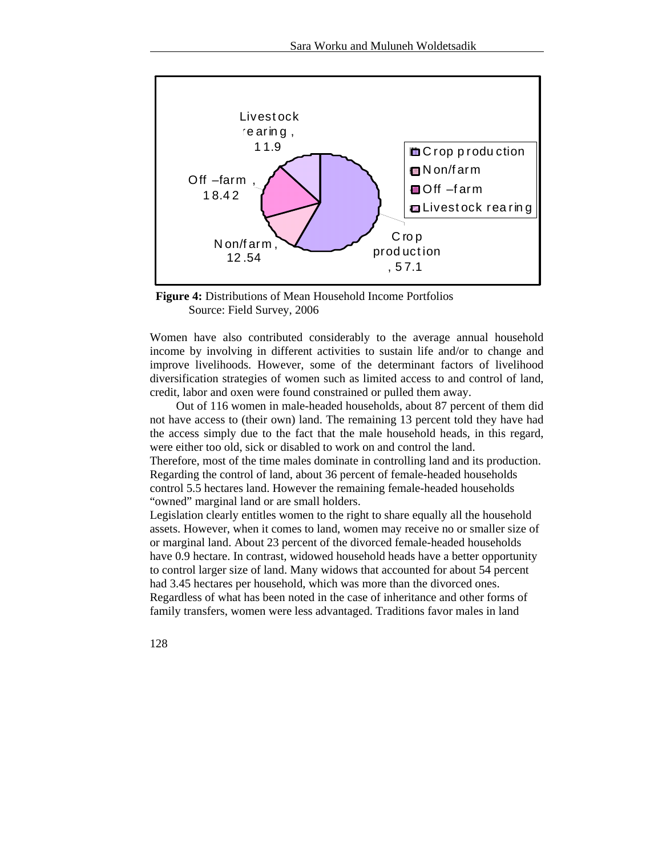



Women have also contributed considerably to the average annual household income by involving in different activities to sustain life and/or to change and improve livelihoods. However, some of the determinant factors of livelihood diversification strategies of women such as limited access to and control of land, credit, labor and oxen were found constrained or pulled them away.

 Out of 116 women in male-headed households, about 87 percent of them did not have access to (their own) land. The remaining 13 percent told they have had the access simply due to the fact that the male household heads, in this regard, were either too old, sick or disabled to work on and control the land.

Therefore, most of the time males dominate in controlling land and its production. Regarding the control of land, about 36 percent of female-headed households control 5.5 hectares land. However the remaining female-headed households "owned" marginal land or are small holders.

Legislation clearly entitles women to the right to share equally all the household assets. However, when it comes to land, women may receive no or smaller size of or marginal land. About 23 percent of the divorced female-headed households have 0.9 hectare. In contrast, widowed household heads have a better opportunity to control larger size of land. Many widows that accounted for about 54 percent had 3.45 hectares per household, which was more than the divorced ones. Regardless of what has been noted in the case of inheritance and other forms of family transfers, women were less advantaged. Traditions favor males in land

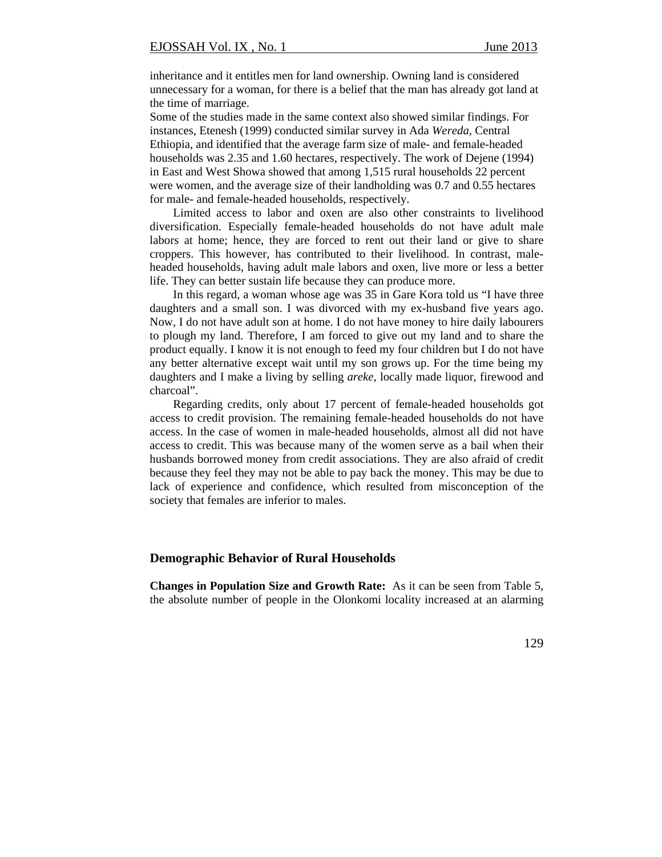inheritance and it entitles men for land ownership. Owning land is considered unnecessary for a woman, for there is a belief that the man has already got land at the time of marriage.

Some of the studies made in the same context also showed similar findings. For instances, Etenesh (1999) conducted similar survey in Ada *Wereda,* Central Ethiopia, and identified that the average farm size of male- and female-headed households was 2.35 and 1.60 hectares, respectively. The work of Dejene (1994) in East and West Showa showed that among 1,515 rural households 22 percent were women, and the average size of their landholding was 0.7 and 0.55 hectares for male- and female-headed households, respectively.

Limited access to labor and oxen are also other constraints to livelihood diversification. Especially female-headed households do not have adult male labors at home; hence, they are forced to rent out their land or give to share croppers. This however, has contributed to their livelihood. In contrast, maleheaded households, having adult male labors and oxen, live more or less a better life. They can better sustain life because they can produce more.

In this regard, a woman whose age was 35 in Gare Kora told us "I have three daughters and a small son. I was divorced with my ex-husband five years ago. Now, I do not have adult son at home. I do not have money to hire daily labourers to plough my land. Therefore, I am forced to give out my land and to share the product equally. I know it is not enough to feed my four children but I do not have any better alternative except wait until my son grows up. For the time being my daughters and I make a living by selling *areke*, locally made liquor, firewood and charcoal".

Regarding credits, only about 17 percent of female-headed households got access to credit provision. The remaining female-headed households do not have access. In the case of women in male-headed households, almost all did not have access to credit. This was because many of the women serve as a bail when their husbands borrowed money from credit associations. They are also afraid of credit because they feel they may not be able to pay back the money. This may be due to lack of experience and confidence, which resulted from misconception of the society that females are inferior to males.

#### **Demographic Behavior of Rural Households**

**Changes in Population Size and Growth Rate:** As it can be seen from Table 5, the absolute number of people in the Olonkomi locality increased at an alarming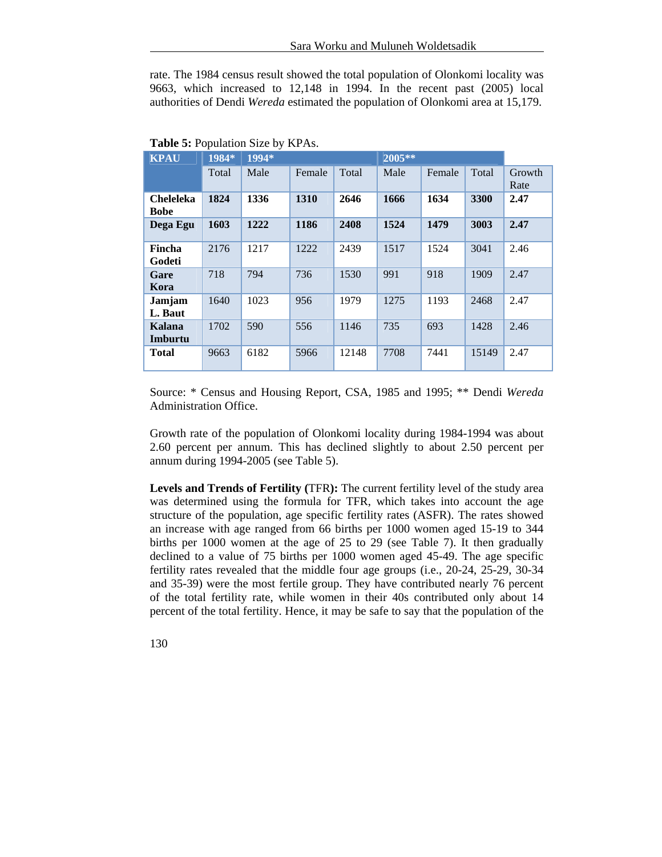rate. The 1984 census result showed the total population of Olonkomi locality was 9663, which increased to 12,148 in 1994. In the recent past (2005) local authorities of Dendi *Wereda* estimated the population of Olonkomi area at 15,179.

| <b>KPAU</b>                     | 1984* | 1994* |        |       | $2005**$ |        |       |                |
|---------------------------------|-------|-------|--------|-------|----------|--------|-------|----------------|
|                                 | Total | Male  | Female | Total | Male     | Female | Total | Growth<br>Rate |
| <b>Cheleleka</b><br><b>Bobe</b> | 1824  | 1336  | 1310   | 2646  | 1666     | 1634   | 3300  | 2.47           |
| Dega Egu                        | 1603  | 1222  | 1186   | 2408  | 1524     | 1479   | 3003  | 2.47           |
| Fincha<br>Godeti                | 2176  | 1217  | 1222   | 2439  | 1517     | 1524   | 3041  | 2.46           |
| Gare<br>Kora                    | 718   | 794   | 736    | 1530  | 991      | 918    | 1909  | 2.47           |
| Jamjam<br>L. Baut               | 1640  | 1023  | 956    | 1979  | 1275     | 1193   | 2468  | 2.47           |
| Kalana<br>Imburtu               | 1702  | 590   | 556    | 1146  | 735      | 693    | 1428  | 2.46           |
| <b>Total</b>                    | 9663  | 6182  | 5966   | 12148 | 7708     | 7441   | 15149 | 2.47           |

**Table 5:** Population Size by KPAs.

Source: \* Census and Housing Report, CSA, 1985 and 1995; \*\* Dendi *Wereda*  Administration Office.

Growth rate of the population of Olonkomi locality during 1984-1994 was about 2.60 percent per annum. This has declined slightly to about 2.50 percent per annum during 1994-2005 (see Table 5).

**Levels and Trends of Fertility (**TFR**):** The current fertility level of the study area was determined using the formula for TFR, which takes into account the age structure of the population, age specific fertility rates (ASFR). The rates showed an increase with age ranged from 66 births per 1000 women aged 15-19 to 344 births per 1000 women at the age of 25 to 29 (see Table 7). It then gradually declined to a value of 75 births per 1000 women aged 45-49. The age specific fertility rates revealed that the middle four age groups (i.e., 20-24, 25-29, 30-34 and 35-39) were the most fertile group. They have contributed nearly 76 percent of the total fertility rate, while women in their 40s contributed only about 14 percent of the total fertility. Hence, it may be safe to say that the population of the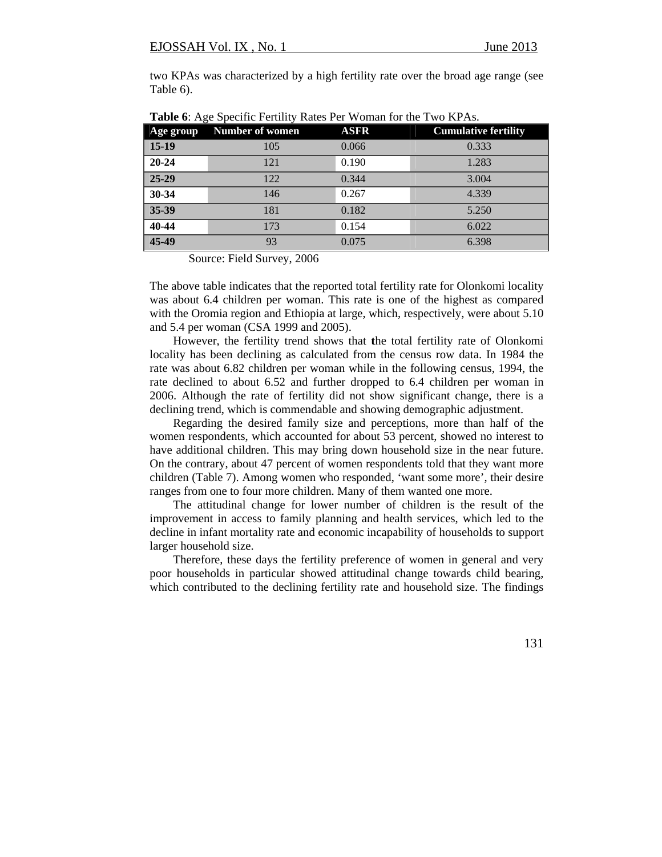two KPAs was characterized by a high fertility rate over the broad age range (see Table 6).

| Age group | ------<br><b>Number of women</b> | <b>ASFR</b> | <b>Cumulative fertility</b> |
|-----------|----------------------------------|-------------|-----------------------------|
| $15-19$   | 105                              | 0.066       | 0.333                       |
| $20 - 24$ | 121                              | 0.190       | 1.283                       |
| 25-29     | 122                              | 0.344       | 3.004                       |
| 30-34     | 146                              | 0.267       | 4.339                       |
| 35-39     | 181                              | 0.182       | 5.250                       |
| 40-44     | 173                              | 0.154       | 6.022                       |
| 45-49     | 93                               | 0.075       | 6.398                       |

**Table 6**: Age Specific Fertility Rates Per Woman for the Two KPAs.

Source: Field Survey, 2006

The above table indicates that the reported total fertility rate for Olonkomi locality was about 6.4 children per woman. This rate is one of the highest as compared with the Oromia region and Ethiopia at large, which, respectively, were about 5.10 and 5.4 per woman (CSA 1999 and 2005).

However, the fertility trend shows that **t**he total fertility rate of Olonkomi locality has been declining as calculated from the census row data. In 1984 the rate was about 6.82 children per woman while in the following census, 1994, the rate declined to about 6.52 and further dropped to 6.4 children per woman in 2006. Although the rate of fertility did not show significant change, there is a declining trend, which is commendable and showing demographic adjustment.

Regarding the desired family size and perceptions, more than half of the women respondents, which accounted for about 53 percent, showed no interest to have additional children. This may bring down household size in the near future. On the contrary, about 47 percent of women respondents told that they want more children (Table 7). Among women who responded, 'want some more', their desire ranges from one to four more children. Many of them wanted one more.

The attitudinal change for lower number of children is the result of the improvement in access to family planning and health services, which led to the decline in infant mortality rate and economic incapability of households to support larger household size.

Therefore, these days the fertility preference of women in general and very poor households in particular showed attitudinal change towards child bearing, which contributed to the declining fertility rate and household size. The findings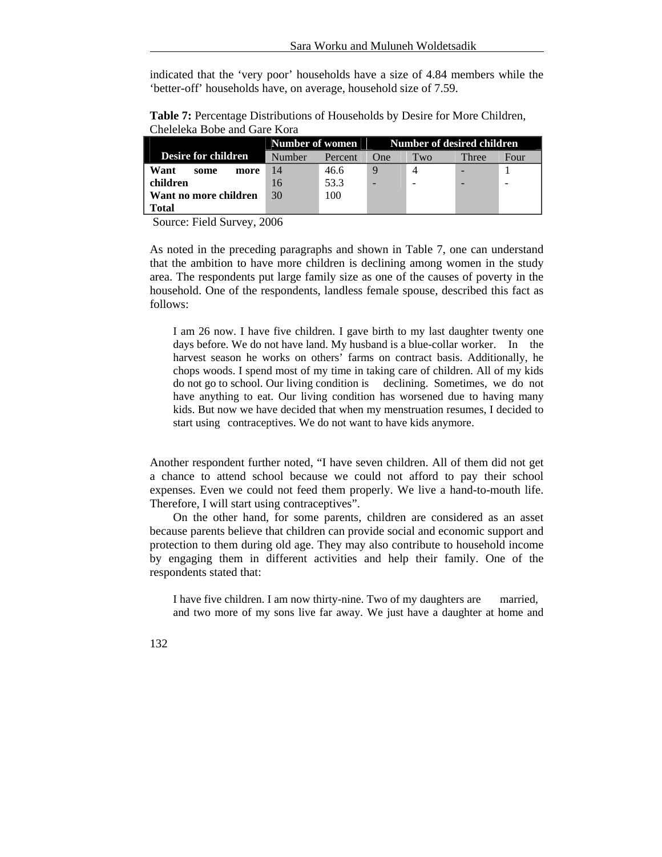indicated that the 'very poor' households have a size of 4.84 members while the 'better-off' households have, on average, household size of 7.59.

**Table 7:** Percentage Distributions of Households by Desire for More Children, Cheleleka Bobe and Gare Kora

|                            | Number of women |         | Number of desired children |                |       |      |
|----------------------------|-----------------|---------|----------------------------|----------------|-------|------|
| <b>Desire for children</b> | Number          | Percent | One                        | Two            | Three | Four |
| Want<br>some<br>more       | 14              | 46.6    |                            | $\overline{4}$ |       |      |
| children                   | 16              | 53.3    |                            |                |       |      |
| Want no more children      | 30              | 100     |                            |                |       |      |
| Total                      |                 |         |                            |                |       |      |

Source: Field Survey, 2006

As noted in the preceding paragraphs and shown in Table 7, one can understand that the ambition to have more children is declining among women in the study area. The respondents put large family size as one of the causes of poverty in the household. One of the respondents, landless female spouse, described this fact as follows:

I am 26 now. I have five children. I gave birth to my last daughter twenty one days before. We do not have land. My husband is a blue-collar worker. In the harvest season he works on others' farms on contract basis. Additionally, he chops woods. I spend most of my time in taking care of children. All of my kids do not go to school. Our living condition is declining. Sometimes, we do not have anything to eat. Our living condition has worsened due to having many kids. But now we have decided that when my menstruation resumes, I decided to start using contraceptives. We do not want to have kids anymore.

Another respondent further noted, "I have seven children. All of them did not get a chance to attend school because we could not afford to pay their school expenses. Even we could not feed them properly. We live a hand-to-mouth life. Therefore, I will start using contraceptives".

On the other hand, for some parents, children are considered as an asset because parents believe that children can provide social and economic support and protection to them during old age. They may also contribute to household income by engaging them in different activities and help their family. One of the respondents stated that:

I have five children. I am now thirty-nine. Two of my daughters are married, and two more of my sons live far away. We just have a daughter at home and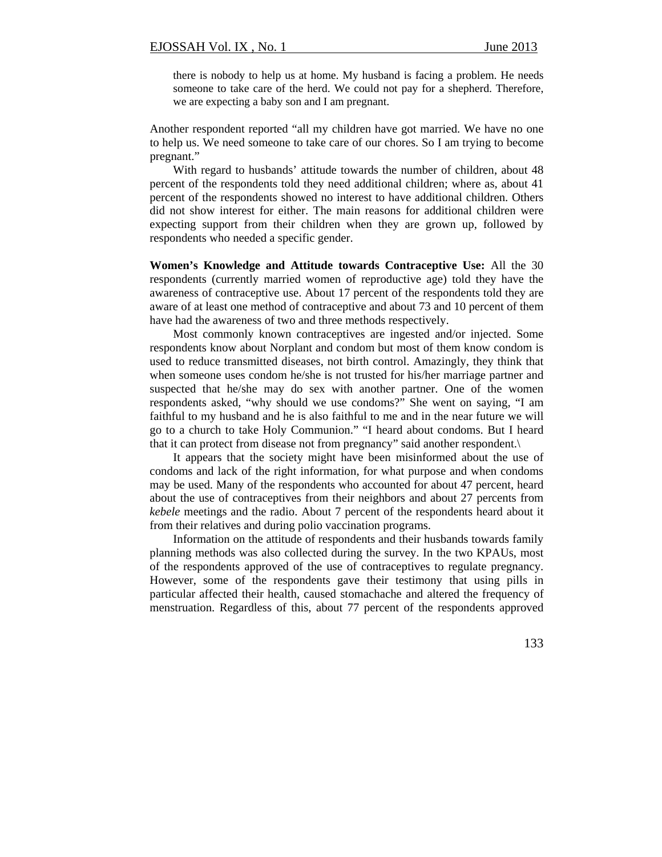there is nobody to help us at home. My husband is facing a problem. He needs someone to take care of the herd. We could not pay for a shepherd. Therefore, we are expecting a baby son and I am pregnant.

Another respondent reported "all my children have got married. We have no one to help us. We need someone to take care of our chores. So I am trying to become pregnant."

With regard to husbands' attitude towards the number of children, about 48 percent of the respondents told they need additional children; where as, about 41 percent of the respondents showed no interest to have additional children. Others did not show interest for either. The main reasons for additional children were expecting support from their children when they are grown up, followed by respondents who needed a specific gender.

**Women's Knowledge and Attitude towards Contraceptive Use:** All the 30 respondents (currently married women of reproductive age) told they have the awareness of contraceptive use. About 17 percent of the respondents told they are aware of at least one method of contraceptive and about 73 and 10 percent of them have had the awareness of two and three methods respectively.

Most commonly known contraceptives are ingested and/or injected. Some respondents know about Norplant and condom but most of them know condom is used to reduce transmitted diseases, not birth control. Amazingly, they think that when someone uses condom he/she is not trusted for his/her marriage partner and suspected that he/she may do sex with another partner. One of the women respondents asked, "why should we use condoms?" She went on saying, "I am faithful to my husband and he is also faithful to me and in the near future we will go to a church to take Holy Communion." "I heard about condoms. But I heard that it can protect from disease not from pregnancy" said another respondent.\

It appears that the society might have been misinformed about the use of condoms and lack of the right information, for what purpose and when condoms may be used. Many of the respondents who accounted for about 47 percent, heard about the use of contraceptives from their neighbors and about 27 percents from *kebele* meetings and the radio. About 7 percent of the respondents heard about it from their relatives and during polio vaccination programs.

Information on the attitude of respondents and their husbands towards family planning methods was also collected during the survey. In the two KPAUs, most of the respondents approved of the use of contraceptives to regulate pregnancy. However, some of the respondents gave their testimony that using pills in particular affected their health, caused stomachache and altered the frequency of menstruation. Regardless of this, about 77 percent of the respondents approved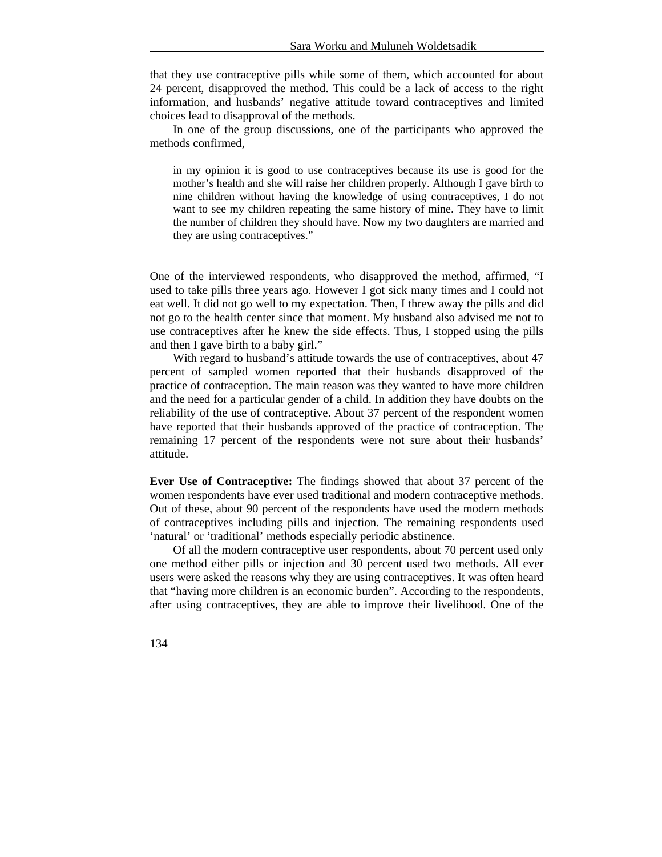that they use contraceptive pills while some of them, which accounted for about 24 percent, disapproved the method. This could be a lack of access to the right information, and husbands' negative attitude toward contraceptives and limited choices lead to disapproval of the methods.

In one of the group discussions, one of the participants who approved the methods confirmed,

in my opinion it is good to use contraceptives because its use is good for the mother's health and she will raise her children properly. Although I gave birth to nine children without having the knowledge of using contraceptives, I do not want to see my children repeating the same history of mine. They have to limit the number of children they should have. Now my two daughters are married and they are using contraceptives."

One of the interviewed respondents, who disapproved the method, affirmed, "I used to take pills three years ago. However I got sick many times and I could not eat well. It did not go well to my expectation. Then, I threw away the pills and did not go to the health center since that moment. My husband also advised me not to use contraceptives after he knew the side effects. Thus, I stopped using the pills and then I gave birth to a baby girl."

With regard to husband's attitude towards the use of contraceptives, about 47 percent of sampled women reported that their husbands disapproved of the practice of contraception. The main reason was they wanted to have more children and the need for a particular gender of a child. In addition they have doubts on the reliability of the use of contraceptive. About 37 percent of the respondent women have reported that their husbands approved of the practice of contraception. The remaining 17 percent of the respondents were not sure about their husbands' attitude.

**Ever Use of Contraceptive:** The findings showed that about 37 percent of the women respondents have ever used traditional and modern contraceptive methods. Out of these, about 90 percent of the respondents have used the modern methods of contraceptives including pills and injection. The remaining respondents used 'natural' or 'traditional' methods especially periodic abstinence.

Of all the modern contraceptive user respondents, about 70 percent used only one method either pills or injection and 30 percent used two methods. All ever users were asked the reasons why they are using contraceptives. It was often heard that "having more children is an economic burden". According to the respondents, after using contraceptives, they are able to improve their livelihood. One of the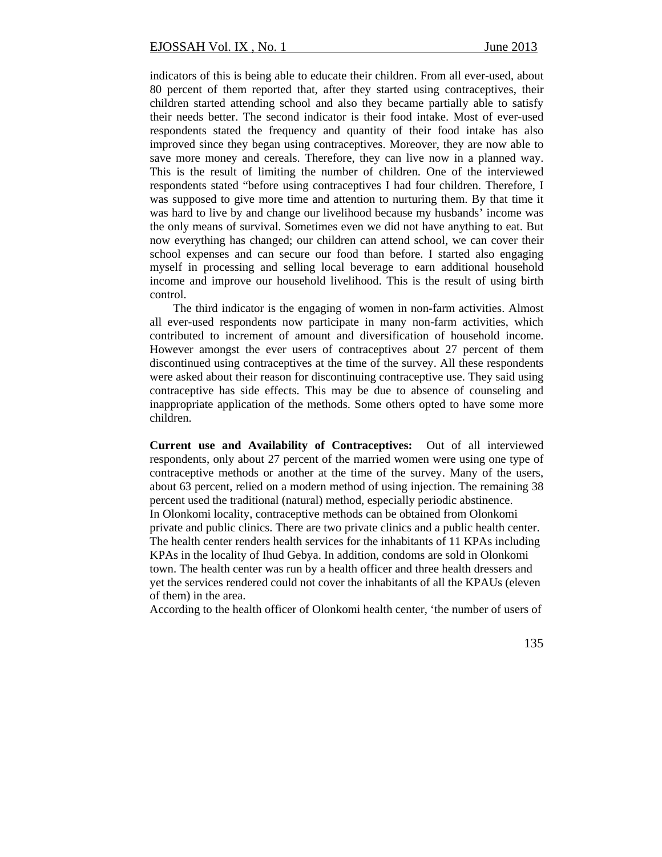indicators of this is being able to educate their children. From all ever-used, about 80 percent of them reported that, after they started using contraceptives, their children started attending school and also they became partially able to satisfy their needs better. The second indicator is their food intake. Most of ever-used respondents stated the frequency and quantity of their food intake has also improved since they began using contraceptives. Moreover, they are now able to save more money and cereals. Therefore, they can live now in a planned way. This is the result of limiting the number of children. One of the interviewed respondents stated "before using contraceptives I had four children. Therefore, I was supposed to give more time and attention to nurturing them. By that time it was hard to live by and change our livelihood because my husbands' income was the only means of survival. Sometimes even we did not have anything to eat. But now everything has changed; our children can attend school, we can cover their school expenses and can secure our food than before. I started also engaging myself in processing and selling local beverage to earn additional household income and improve our household livelihood. This is the result of using birth control.

The third indicator is the engaging of women in non-farm activities. Almost all ever-used respondents now participate in many non-farm activities, which contributed to increment of amount and diversification of household income. However amongst the ever users of contraceptives about 27 percent of them discontinued using contraceptives at the time of the survey. All these respondents were asked about their reason for discontinuing contraceptive use. They said using contraceptive has side effects. This may be due to absence of counseling and inappropriate application of the methods. Some others opted to have some more children.

**Current use and Availability of Contraceptives:** Out of all interviewed respondents, only about 27 percent of the married women were using one type of contraceptive methods or another at the time of the survey. Many of the users, about 63 percent, relied on a modern method of using injection. The remaining 38 percent used the traditional (natural) method, especially periodic abstinence. In Olonkomi locality, contraceptive methods can be obtained from Olonkomi private and public clinics. There are two private clinics and a public health center. The health center renders health services for the inhabitants of 11 KPAs including KPAs in the locality of Ihud Gebya. In addition, condoms are sold in Olonkomi town. The health center was run by a health officer and three health dressers and yet the services rendered could not cover the inhabitants of all the KPAUs (eleven of them) in the area.

According to the health officer of Olonkomi health center*,* 'the number of users of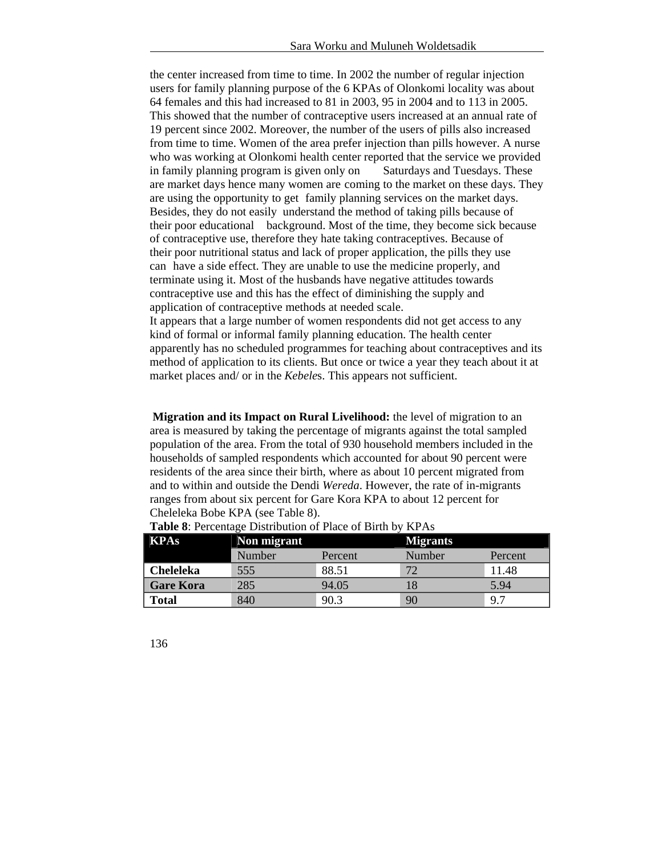the center increased from time to time. In 2002 the number of regular injection users for family planning purpose of the 6 KPAs of Olonkomi locality was about 64 females and this had increased to 81 in 2003, 95 in 2004 and to 113 in 2005. This showed that the number of contraceptive users increased at an annual rate of 19 percent since 2002. Moreover, the number of the users of pills also increased from time to time. Women of the area prefer injection than pills however. A nurse who was working at Olonkomi health center reported that the service we provided in family planning program is given only on Saturdays and Tuesdays. These are market days hence many women are coming to the market on these days. They are using the opportunity to get family planning services on the market days. Besides, they do not easily understand the method of taking pills because of their poor educational background. Most of the time, they become sick because of contraceptive use, therefore they hate taking contraceptives. Because of their poor nutritional status and lack of proper application, the pills they use can have a side effect. They are unable to use the medicine properly, and terminate using it. Most of the husbands have negative attitudes towards contraceptive use and this has the effect of diminishing the supply and application of contraceptive methods at needed scale. It appears that a large number of women respondents did not get access to any

kind of formal or informal family planning education. The health center apparently has no scheduled programmes for teaching about contraceptives and its method of application to its clients. But once or twice a year they teach about it at market places and/ or in the *Kebele*s. This appears not sufficient.

**Migration and its Impact on Rural Livelihood:** the level of migration to an area is measured by taking the percentage of migrants against the total sampled population of the area. From the total of 930 household members included in the households of sampled respondents which accounted for about 90 percent were residents of the area since their birth, where as about 10 percent migrated from and to within and outside the Dendi *Wereda*. However, the rate of in-migrants ranges from about six percent for Gare Kora KPA to about 12 percent for Cheleleka Bobe KPA (see Table 8).

| <b>KPAs</b>      | Non migrant |         | <b>Migrants</b> |         |  |
|------------------|-------------|---------|-----------------|---------|--|
|                  | Number      | Percent | Number          | Percent |  |
| <b>Cheleleka</b> | 555         | 88.51   |                 | 11.48   |  |
| <b>Gare Kora</b> | 285         | 94.05   |                 | 5.94    |  |
| <b>Total</b>     | 840         | 90.3    | 90              | 9.7     |  |

**Table 8**: Percentage Distribution of Place of Birth by KPAs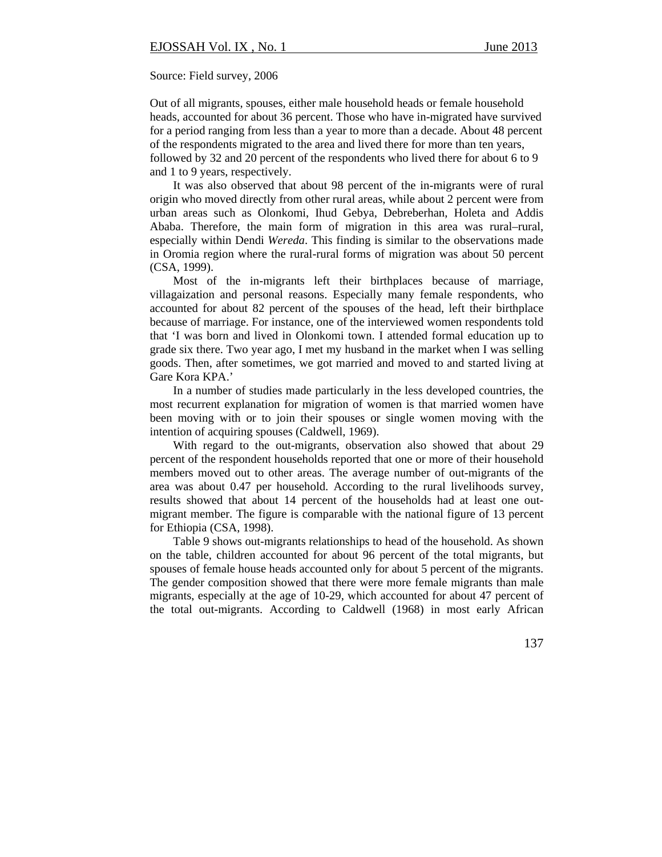Source: Field survey, 2006

Out of all migrants, spouses, either male household heads or female household heads, accounted for about 36 percent. Those who have in-migrated have survived for a period ranging from less than a year to more than a decade. About 48 percent of the respondents migrated to the area and lived there for more than ten years, followed by 32 and 20 percent of the respondents who lived there for about 6 to 9 and 1 to 9 years, respectively.

It was also observed that about 98 percent of the in-migrants were of rural origin who moved directly from other rural areas, while about 2 percent were from urban areas such as Olonkomi, Ihud Gebya, Debreberhan, Holeta and Addis Ababa. Therefore, the main form of migration in this area was rural–rural, especially within Dendi *Wereda*. This finding is similar to the observations made in Oromia region where the rural-rural forms of migration was about 50 percent (CSA, 1999).

Most of the in-migrants left their birthplaces because of marriage, villagaization and personal reasons. Especially many female respondents, who accounted for about 82 percent of the spouses of the head, left their birthplace because of marriage. For instance, one of the interviewed women respondents told that 'I was born and lived in Olonkomi town. I attended formal education up to grade six there. Two year ago, I met my husband in the market when I was selling goods. Then, after sometimes, we got married and moved to and started living at Gare Kora KPA.'

In a number of studies made particularly in the less developed countries, the most recurrent explanation for migration of women is that married women have been moving with or to join their spouses or single women moving with the intention of acquiring spouses (Caldwell, 1969).

With regard to the out-migrants, observation also showed that about 29 percent of the respondent households reported that one or more of their household members moved out to other areas. The average number of out-migrants of the area was about 0.47 per household. According to the rural livelihoods survey, results showed that about 14 percent of the households had at least one outmigrant member. The figure is comparable with the national figure of 13 percent for Ethiopia (CSA, 1998).

Table 9 shows out-migrants relationships to head of the household. As shown on the table, children accounted for about 96 percent of the total migrants, but spouses of female house heads accounted only for about 5 percent of the migrants. The gender composition showed that there were more female migrants than male migrants, especially at the age of 10-29, which accounted for about 47 percent of the total out-migrants. According to Caldwell (1968) in most early African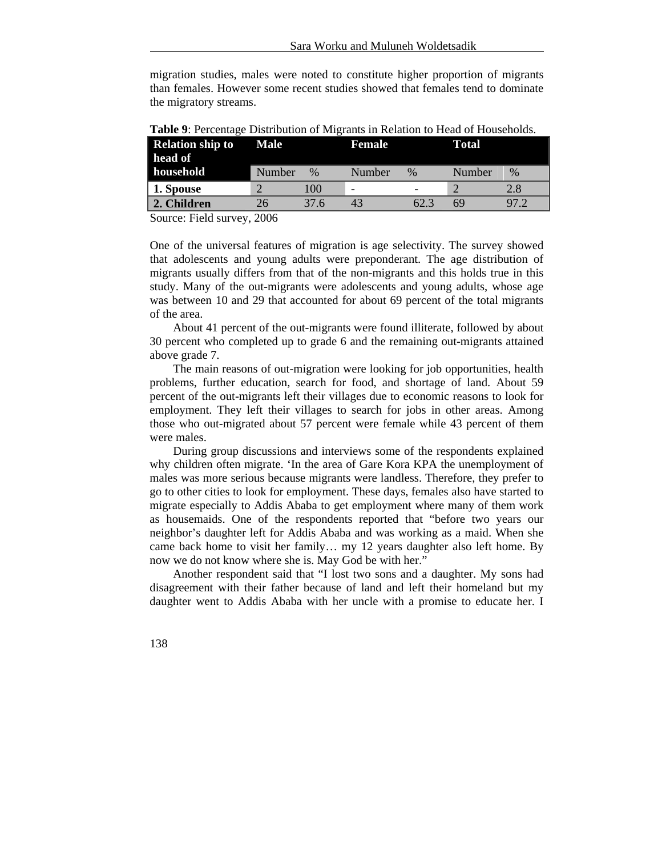migration studies, males were noted to constitute higher proportion of migrants than females. However some recent studies showed that females tend to dominate the migratory streams.

| <b>Relation ship to</b><br>head of | <b>Male</b> |      | <b>Female</b> |                          | Total  |      |
|------------------------------------|-------------|------|---------------|--------------------------|--------|------|
| household                          | Number      | $\%$ | Number        | $\%$                     | Number | $\%$ |
| 1. Spouse                          |             | 100  | -             | $\overline{\phantom{0}}$ |        | 2.8  |
| 2. Children                        | 26          | 37.6 | 43            | 62.3                     | 69     | 97.2 |

**Table 9**: Percentage Distribution of Migrants in Relation to Head of Households.

Source: Field survey, 2006

One of the universal features of migration is age selectivity. The survey showed that adolescents and young adults were preponderant. The age distribution of migrants usually differs from that of the non-migrants and this holds true in this study. Many of the out-migrants were adolescents and young adults, whose age was between 10 and 29 that accounted for about 69 percent of the total migrants of the area.

About 41 percent of the out-migrants were found illiterate, followed by about 30 percent who completed up to grade 6 and the remaining out-migrants attained above grade 7.

The main reasons of out-migration were looking for job opportunities, health problems, further education, search for food, and shortage of land. About 59 percent of the out-migrants left their villages due to economic reasons to look for employment. They left their villages to search for jobs in other areas. Among those who out-migrated about 57 percent were female while 43 percent of them were males.

During group discussions and interviews some of the respondents explained why children often migrate. 'In the area of Gare Kora KPA the unemployment of males was more serious because migrants were landless. Therefore, they prefer to go to other cities to look for employment. These days, females also have started to migrate especially to Addis Ababa to get employment where many of them work as housemaids. One of the respondents reported that "before two years our neighbor's daughter left for Addis Ababa and was working as a maid. When she came back home to visit her family… my 12 years daughter also left home. By now we do not know where she is. May God be with her."

Another respondent said that "I lost two sons and a daughter. My sons had disagreement with their father because of land and left their homeland but my daughter went to Addis Ababa with her uncle with a promise to educate her. I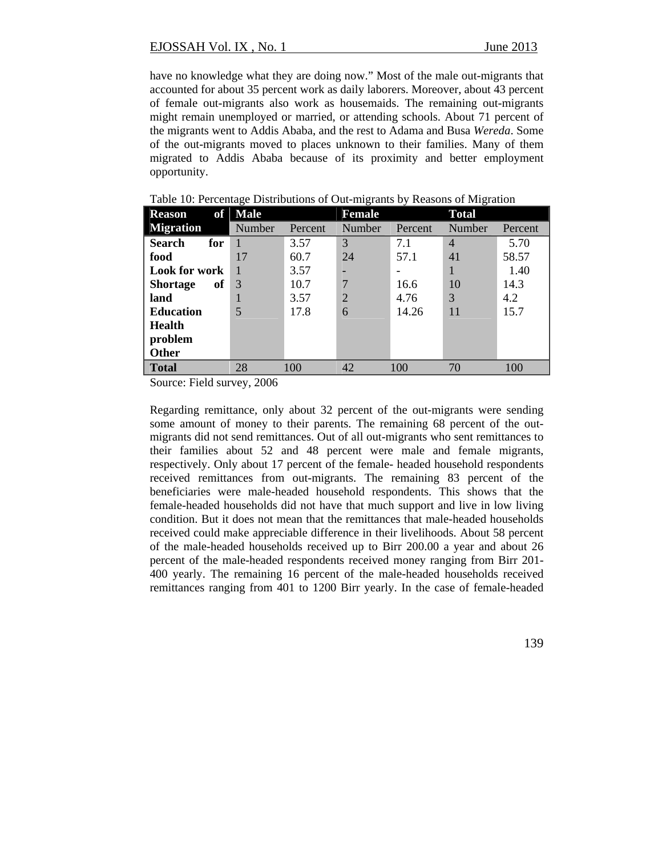have no knowledge what they are doing now." Most of the male out-migrants that accounted for about 35 percent work as daily laborers. Moreover, about 43 percent of female out-migrants also work as housemaids. The remaining out-migrants might remain unemployed or married, or attending schools. About 71 percent of the migrants went to Addis Ababa, and the rest to Adama and Busa *Wereda*. Some of the out-migrants moved to places unknown to their families. Many of them migrated to Addis Ababa because of its proximity and better employment opportunity.

| of<br><b>Reason</b>   | <b>Male</b> |         | <b>Female</b>  |         | <b>Total</b>   |         |
|-----------------------|-------------|---------|----------------|---------|----------------|---------|
| <b>Migration</b>      | Number      | Percent | Number         | Percent | Number         | Percent |
| <b>Search</b><br>for  |             | 3.57    | 3              | 7.1     | $\overline{4}$ | 5.70    |
| food                  | 17          | 60.7    | 24             | 57.1    | 41             | 58.57   |
| <b>Look for work</b>  |             | 3.57    |                |         |                | 1.40    |
| of<br><b>Shortage</b> | 3           | 10.7    | 7              | 16.6    | 10             | 14.3    |
| land                  |             | 3.57    | $\overline{2}$ | 4.76    | 3              | 4.2     |
| <b>Education</b>      | 5           | 17.8    | 6              | 14.26   | 11             | 15.7    |
| Health                |             |         |                |         |                |         |
| problem               |             |         |                |         |                |         |
| <b>Other</b>          |             |         |                |         |                |         |
| <b>Total</b>          | 28          | 100     | 42             | 100     | 70             | 100     |

Table 10: Percentage Distributions of Out-migrants by Reasons of Migration

Source: Field survey, 2006

Regarding remittance, only about 32 percent of the out-migrants were sending some amount of money to their parents. The remaining 68 percent of the outmigrants did not send remittances. Out of all out-migrants who sent remittances to their families about 52 and 48 percent were male and female migrants, respectively. Only about 17 percent of the female- headed household respondents received remittances from out-migrants. The remaining 83 percent of the beneficiaries were male-headed household respondents. This shows that the female-headed households did not have that much support and live in low living condition. But it does not mean that the remittances that male-headed households received could make appreciable difference in their livelihoods. About 58 percent of the male-headed households received up to Birr 200.00 a year and about 26 percent of the male-headed respondents received money ranging from Birr 201- 400 yearly. The remaining 16 percent of the male-headed households received remittances ranging from 401 to 1200 Birr yearly. In the case of female-headed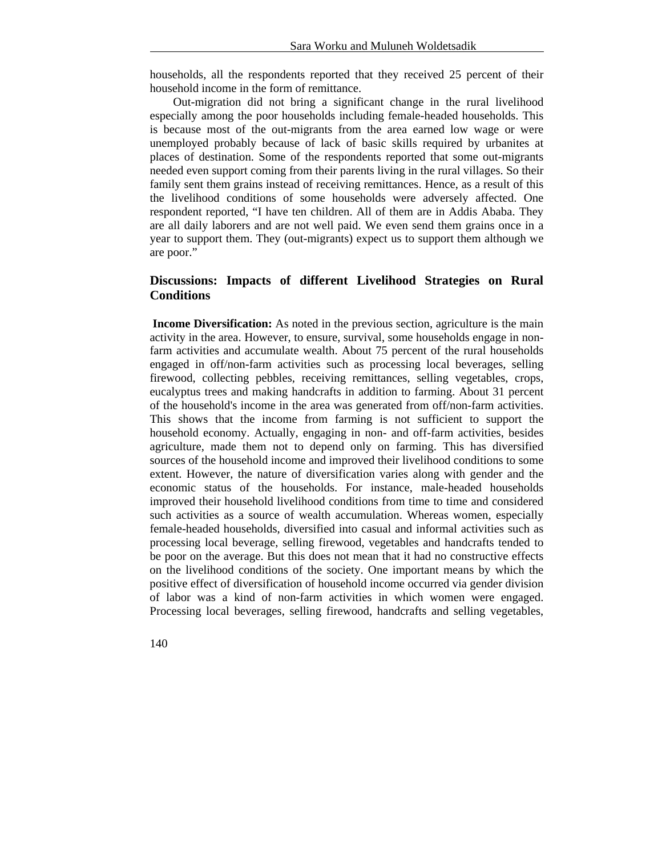households, all the respondents reported that they received 25 percent of their household income in the form of remittance.

Out-migration did not bring a significant change in the rural livelihood especially among the poor households including female-headed households. This is because most of the out-migrants from the area earned low wage or were unemployed probably because of lack of basic skills required by urbanites at places of destination. Some of the respondents reported that some out-migrants needed even support coming from their parents living in the rural villages. So their family sent them grains instead of receiving remittances. Hence, as a result of this the livelihood conditions of some households were adversely affected. One respondent reported, "I have ten children. All of them are in Addis Ababa. They are all daily laborers and are not well paid. We even send them grains once in a year to support them. They (out-migrants) expect us to support them although we are poor."

## **Discussions: Impacts of different Livelihood Strategies on Rural Conditions**

 **Income Diversification:** As noted in the previous section, agriculture is the main activity in the area. However, to ensure, survival, some households engage in nonfarm activities and accumulate wealth. About 75 percent of the rural households engaged in off/non-farm activities such as processing local beverages, selling firewood, collecting pebbles, receiving remittances, selling vegetables, crops, eucalyptus trees and making handcrafts in addition to farming. About 31 percent of the household's income in the area was generated from off/non-farm activities. This shows that the income from farming is not sufficient to support the household economy. Actually, engaging in non- and off-farm activities, besides agriculture, made them not to depend only on farming. This has diversified sources of the household income and improved their livelihood conditions to some extent. However, the nature of diversification varies along with gender and the economic status of the households. For instance, male-headed households improved their household livelihood conditions from time to time and considered such activities as a source of wealth accumulation. Whereas women, especially female-headed households, diversified into casual and informal activities such as processing local beverage, selling firewood, vegetables and handcrafts tended to be poor on the average. But this does not mean that it had no constructive effects on the livelihood conditions of the society. One important means by which the positive effect of diversification of household income occurred via gender division of labor was a kind of non-farm activities in which women were engaged. Processing local beverages, selling firewood, handcrafts and selling vegetables,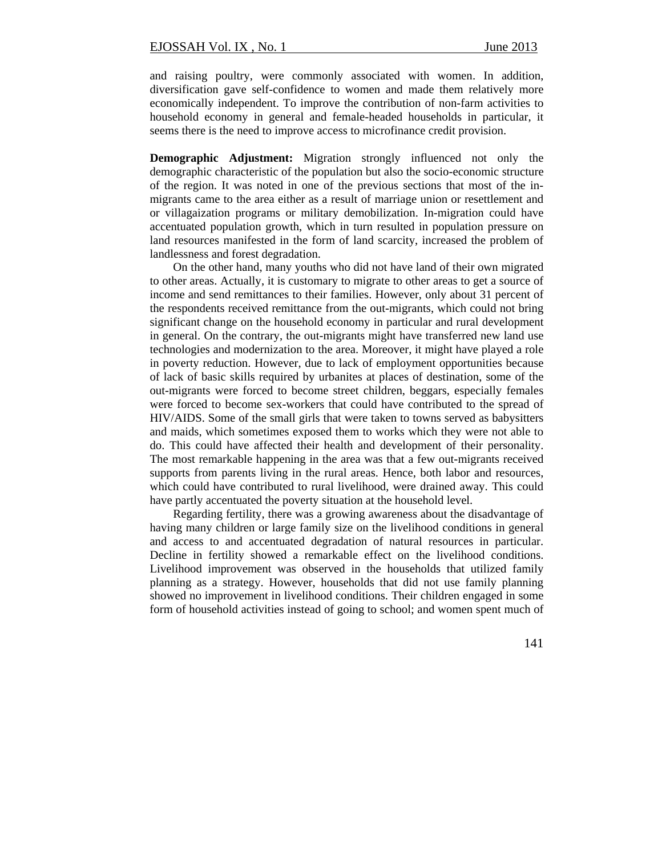and raising poultry, were commonly associated with women. In addition, diversification gave self-confidence to women and made them relatively more economically independent. To improve the contribution of non-farm activities to household economy in general and female-headed households in particular, it seems there is the need to improve access to microfinance credit provision.

**Demographic Adjustment:** Migration strongly influenced not only the demographic characteristic of the population but also the socio-economic structure of the region. It was noted in one of the previous sections that most of the inmigrants came to the area either as a result of marriage union or resettlement and or villagaization programs or military demobilization. In-migration could have accentuated population growth, which in turn resulted in population pressure on land resources manifested in the form of land scarcity, increased the problem of landlessness and forest degradation.

On the other hand, many youths who did not have land of their own migrated to other areas. Actually, it is customary to migrate to other areas to get a source of income and send remittances to their families. However, only about 31 percent of the respondents received remittance from the out-migrants, which could not bring significant change on the household economy in particular and rural development in general. On the contrary, the out-migrants might have transferred new land use technologies and modernization to the area. Moreover, it might have played a role in poverty reduction. However, due to lack of employment opportunities because of lack of basic skills required by urbanites at places of destination, some of the out-migrants were forced to become street children, beggars, especially females were forced to become sex-workers that could have contributed to the spread of HIV/AIDS. Some of the small girls that were taken to towns served as babysitters and maids, which sometimes exposed them to works which they were not able to do. This could have affected their health and development of their personality. The most remarkable happening in the area was that a few out-migrants received supports from parents living in the rural areas. Hence, both labor and resources, which could have contributed to rural livelihood, were drained away. This could have partly accentuated the poverty situation at the household level.

Regarding fertility, there was a growing awareness about the disadvantage of having many children or large family size on the livelihood conditions in general and access to and accentuated degradation of natural resources in particular. Decline in fertility showed a remarkable effect on the livelihood conditions. Livelihood improvement was observed in the households that utilized family planning as a strategy. However, households that did not use family planning showed no improvement in livelihood conditions. Their children engaged in some form of household activities instead of going to school; and women spent much of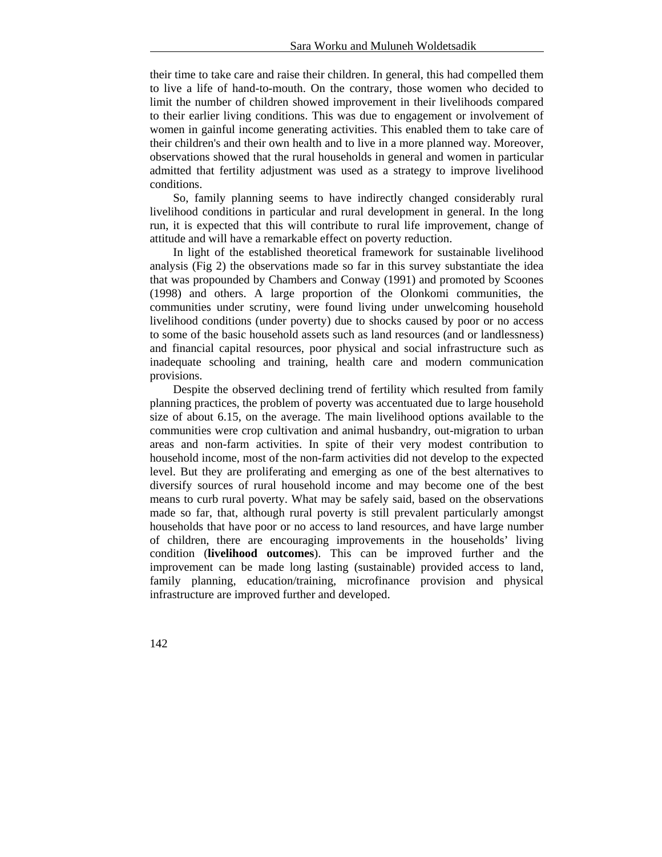their time to take care and raise their children. In general, this had compelled them to live a life of hand-to-mouth. On the contrary, those women who decided to limit the number of children showed improvement in their livelihoods compared to their earlier living conditions. This was due to engagement or involvement of women in gainful income generating activities. This enabled them to take care of their children's and their own health and to live in a more planned way. Moreover, observations showed that the rural households in general and women in particular admitted that fertility adjustment was used as a strategy to improve livelihood conditions.

So, family planning seems to have indirectly changed considerably rural livelihood conditions in particular and rural development in general. In the long run, it is expected that this will contribute to rural life improvement, change of attitude and will have a remarkable effect on poverty reduction.

In light of the established theoretical framework for sustainable livelihood analysis (Fig 2) the observations made so far in this survey substantiate the idea that was propounded by Chambers and Conway (1991) and promoted by Scoones (1998) and others. A large proportion of the Olonkomi communities, the communities under scrutiny, were found living under unwelcoming household livelihood conditions (under poverty) due to shocks caused by poor or no access to some of the basic household assets such as land resources (and or landlessness) and financial capital resources, poor physical and social infrastructure such as inadequate schooling and training, health care and modern communication provisions.

Despite the observed declining trend of fertility which resulted from family planning practices, the problem of poverty was accentuated due to large household size of about 6.15, on the average. The main livelihood options available to the communities were crop cultivation and animal husbandry, out-migration to urban areas and non-farm activities. In spite of their very modest contribution to household income, most of the non-farm activities did not develop to the expected level. But they are proliferating and emerging as one of the best alternatives to diversify sources of rural household income and may become one of the best means to curb rural poverty. What may be safely said, based on the observations made so far, that, although rural poverty is still prevalent particularly amongst households that have poor or no access to land resources, and have large number of children, there are encouraging improvements in the households' living condition (**livelihood outcomes**). This can be improved further and the improvement can be made long lasting (sustainable) provided access to land, family planning, education/training, microfinance provision and physical infrastructure are improved further and developed.

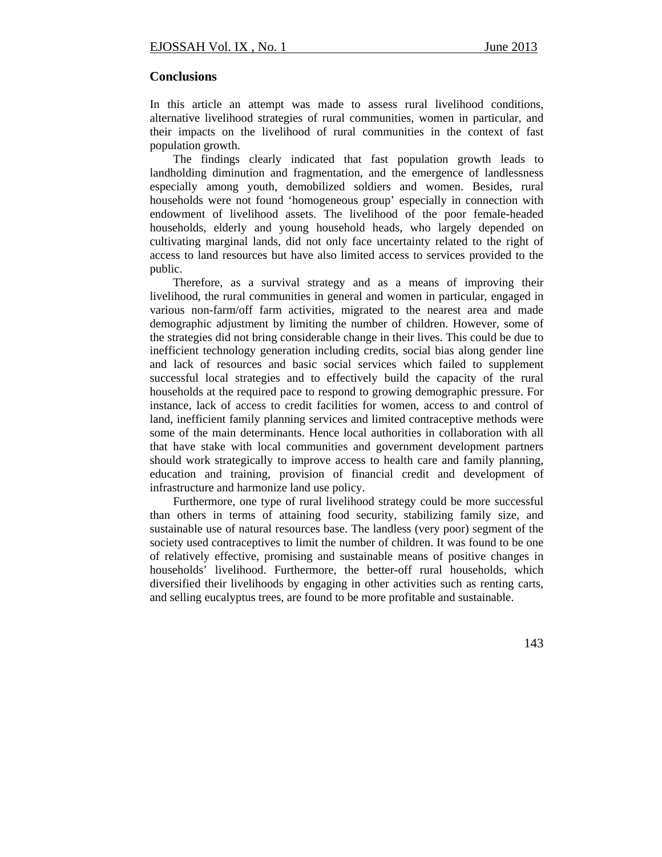## **Conclusions**

In this article an attempt was made to assess rural livelihood conditions, alternative livelihood strategies of rural communities, women in particular, and their impacts on the livelihood of rural communities in the context of fast population growth.

The findings clearly indicated that fast population growth leads to landholding diminution and fragmentation, and the emergence of landlessness especially among youth, demobilized soldiers and women. Besides, rural households were not found 'homogeneous group' especially in connection with endowment of livelihood assets. The livelihood of the poor female-headed households, elderly and young household heads, who largely depended on cultivating marginal lands, did not only face uncertainty related to the right of access to land resources but have also limited access to services provided to the public.

Therefore, as a survival strategy and as a means of improving their livelihood, the rural communities in general and women in particular, engaged in various non-farm/off farm activities, migrated to the nearest area and made demographic adjustment by limiting the number of children. However, some of the strategies did not bring considerable change in their lives. This could be due to inefficient technology generation including credits, social bias along gender line and lack of resources and basic social services which failed to supplement successful local strategies and to effectively build the capacity of the rural households at the required pace to respond to growing demographic pressure. For instance, lack of access to credit facilities for women, access to and control of land, inefficient family planning services and limited contraceptive methods were some of the main determinants. Hence local authorities in collaboration with all that have stake with local communities and government development partners should work strategically to improve access to health care and family planning, education and training, provision of financial credit and development of infrastructure and harmonize land use policy.

Furthermore, one type of rural livelihood strategy could be more successful than others in terms of attaining food security, stabilizing family size, and sustainable use of natural resources base. The landless (very poor) segment of the society used contraceptives to limit the number of children. It was found to be one of relatively effective, promising and sustainable means of positive changes in households' livelihood. Furthermore, the better-off rural households, which diversified their livelihoods by engaging in other activities such as renting carts, and selling eucalyptus trees, are found to be more profitable and sustainable.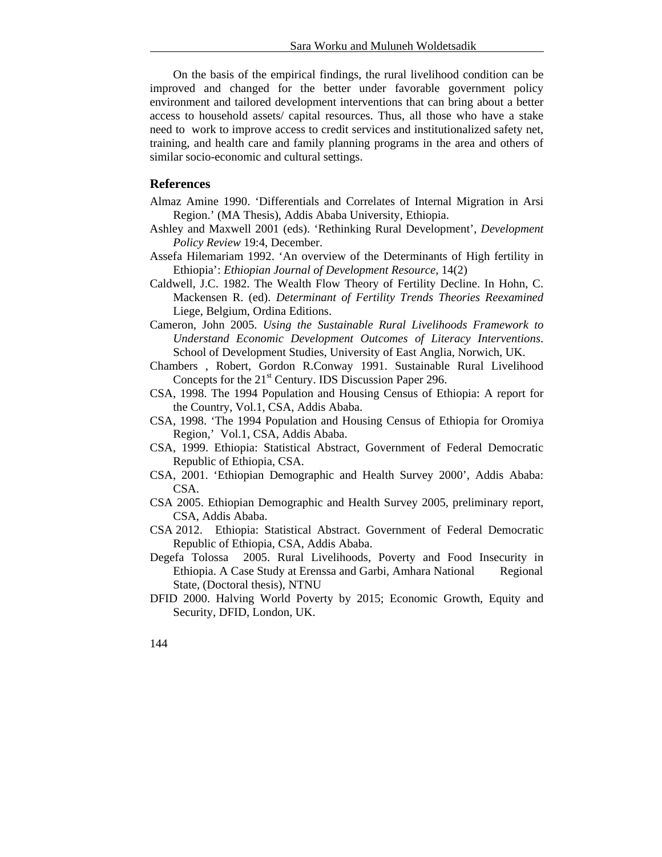On the basis of the empirical findings, the rural livelihood condition can be improved and changed for the better under favorable government policy environment and tailored development interventions that can bring about a better access to household assets/ capital resources. Thus, all those who have a stake need to work to improve access to credit services and institutionalized safety net, training, and health care and family planning programs in the area and others of similar socio-economic and cultural settings.

## **References**

- Almaz Amine 1990. 'Differentials and Correlates of Internal Migration in Arsi Region.' (MA Thesis), Addis Ababa University, Ethiopia.
- Ashley and Maxwell 2001 (eds). 'Rethinking Rural Development', *Development Policy Review* 19:4, December.
- Assefa Hilemariam 1992. 'An overview of the Determinants of High fertility in Ethiopia': *Ethiopian Journal of Development Resource,* 14(2)
- Caldwell, J.C. 1982. The Wealth Flow Theory of Fertility Decline. In Hohn, C. Mackensen R. (ed). *Determinant of Fertility Trends Theories Reexamined* Liege, Belgium, Ordina Editions.
- Cameron, John 2005. *Using the Sustainable Rural Livelihoods Framework to Understand Economic Development Outcomes of Literacy Interventions*. School of Development Studies, University of East Anglia, Norwich, UK.
- Chambers , Robert, Gordon R.Conway 1991. Sustainable Rural Livelihood Concepts for the 21<sup>st</sup> Century. IDS Discussion Paper 296.
- CSA, 1998. The 1994 Population and Housing Census of Ethiopia: A report for the Country, Vol.1, CSA, Addis Ababa.
- CSA, 1998. 'The 1994 Population and Housing Census of Ethiopia for Oromiya Region,' Vol.1, CSA, Addis Ababa.
- CSA, 1999. Ethiopia: Statistical Abstract, Government of Federal Democratic Republic of Ethiopia, CSA.
- CSA, 2001. 'Ethiopian Demographic and Health Survey 2000', Addis Ababa: CSA.
- CSA 2005. Ethiopian Demographic and Health Survey 2005, preliminary report, CSA, Addis Ababa.
- CSA 2012. Ethiopia: Statistical Abstract. Government of Federal Democratic Republic of Ethiopia, CSA, Addis Ababa.
- Degefa Tolossa 2005. Rural Livelihoods, Poverty and Food Insecurity in Ethiopia. A Case Study at Erenssa and Garbi, Amhara National Regional State, (Doctoral thesis), NTNU
- DFID 2000. Halving World Poverty by 2015; Economic Growth, Equity and Security, DFID, London, UK.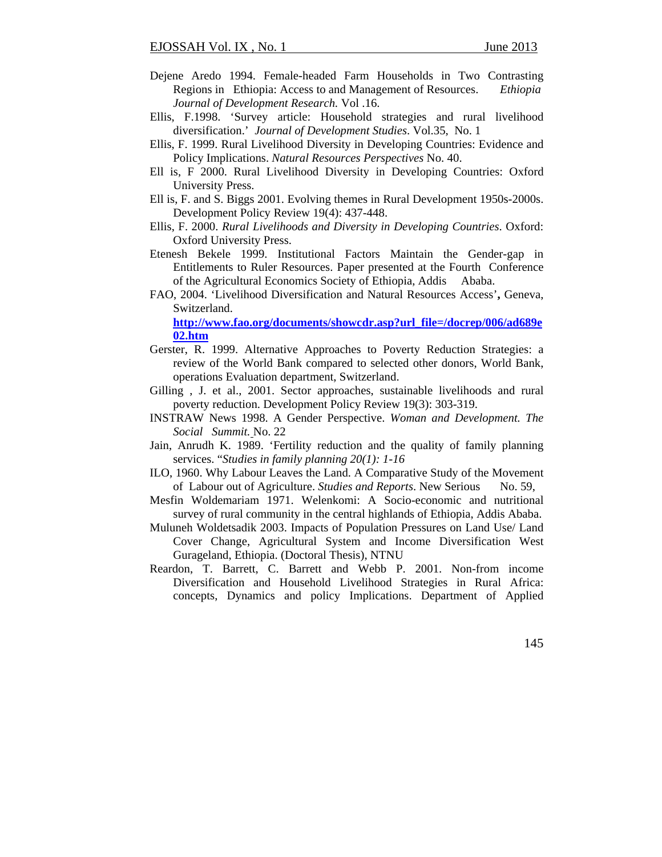- Dejene Aredo 1994. Female-headed Farm Households in Two Contrasting Regions in Ethiopia: Access to and Management of Resources. *Ethiopia Journal of Development Research.* Vol .16.
- Ellis, F.1998. 'Survey article: Household strategies and rural livelihood diversification.' *Journal of Development Studies*. Vol.35, No. 1
- Ellis, F. 1999. Rural Livelihood Diversity in Developing Countries: Evidence and Policy Implications. *Natural Resources Perspectives* No. 40.
- Ell is, F 2000. Rural Livelihood Diversity in Developing Countries: Oxford University Press.
- Ell is, F. and S. Biggs 2001. Evolving themes in Rural Development 1950s-2000s. Development Policy Review 19(4): 437-448.
- Ellis, F. 2000. *Rural Livelihoods and Diversity in Developing Countries*. Oxford: Oxford University Press.
- Etenesh Bekele 1999. Institutional Factors Maintain the Gender-gap in Entitlements to Ruler Resources. Paper presented at the Fourth Conference of the Agricultural Economics Society of Ethiopia, Addis Ababa.
- FAO, 2004. 'Livelihood Diversification and Natural Resources Access'**,** Geneva, Switzerland.

**http://www.fao.org/documents/showcdr.asp?url\_file=/docrep/006/ad689e 02.htm** 

- Gerster, R. 1999. Alternative Approaches to Poverty Reduction Strategies: a review of the World Bank compared to selected other donors, World Bank, operations Evaluation department, Switzerland.
- Gilling , J. et al., 2001. Sector approaches, sustainable livelihoods and rural poverty reduction. Development Policy Review 19(3): 303-319.
- INSTRAW News 1998. A Gender Perspective. *Woman and Development. The Social Summit.* No. 22
- Jain, Anrudh K. 1989. 'Fertility reduction and the quality of family planning services. "*Studies in family planning 20(1): 1-16*
- ILO, 1960. Why Labour Leaves the Land. A Comparative Study of the Movement of Labour out of Agriculture. *Studies and Reports*. New Serious No. 59,
- Mesfin Woldemariam 1971. Welenkomi: A Socio-economic and nutritional survey of rural community in the central highlands of Ethiopia, Addis Ababa.
- Muluneh Woldetsadik 2003. Impacts of Population Pressures on Land Use/ Land Cover Change, Agricultural System and Income Diversification West Gurageland, Ethiopia. (Doctoral Thesis), NTNU
- Reardon, T. Barrett, C. Barrett and Webb P. 2001. Non-from income Diversification and Household Livelihood Strategies in Rural Africa: concepts, Dynamics and policy Implications. Department of Applied